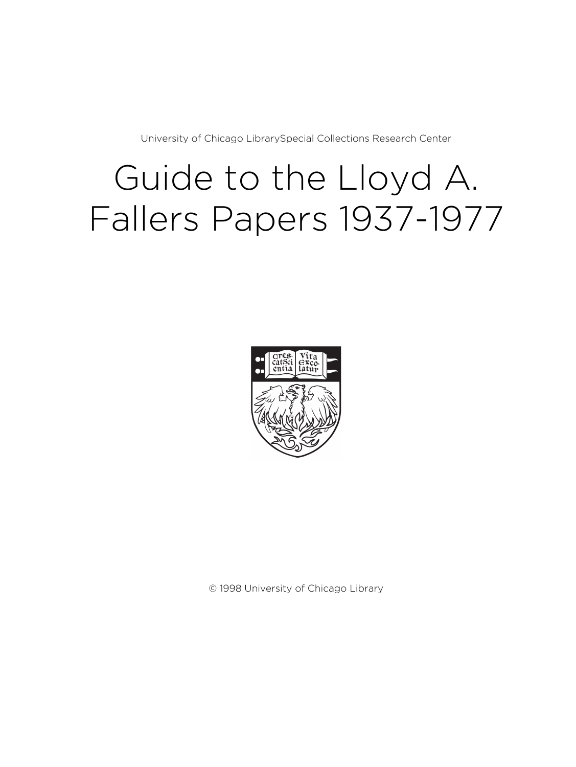University of Chicago LibrarySpecial Collections Research Center

# Guide to the Lloyd A. Fallers Papers 1937-1977



© 1998 University of Chicago Library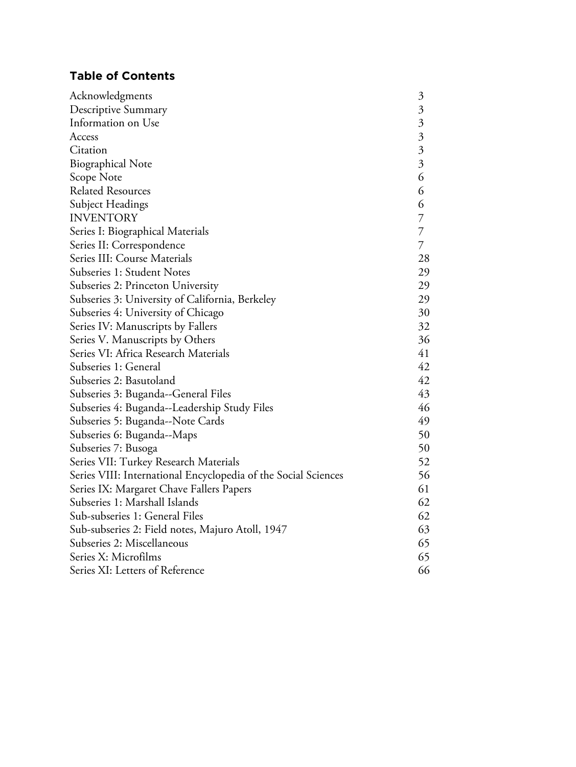## **Table of Contents**

| Acknowledgments                                                | $\mathfrak{Z}$            |
|----------------------------------------------------------------|---------------------------|
| Descriptive Summary                                            | $\overline{\mathfrak{Z}}$ |
| Information on Use                                             | $\overline{\mathfrak{Z}}$ |
| Access                                                         | $\overline{\mathfrak{Z}}$ |
| Citation                                                       | $\overline{3}$            |
| <b>Biographical Note</b>                                       | $\overline{\mathfrak{Z}}$ |
| Scope Note                                                     | 6                         |
| <b>Related Resources</b>                                       | 6                         |
| Subject Headings                                               | 6                         |
| <b>INVENTORY</b>                                               | $\overline{7}$            |
| Series I: Biographical Materials                               | $\overline{7}$            |
| Series II: Correspondence                                      | $\overline{7}$            |
| Series III: Course Materials                                   | 28                        |
| Subseries 1: Student Notes                                     | 29                        |
| Subseries 2: Princeton University                              | 29                        |
| Subseries 3: University of California, Berkeley                | 29                        |
| Subseries 4: University of Chicago                             | 30                        |
| Series IV: Manuscripts by Fallers                              | 32                        |
| Series V. Manuscripts by Others                                | 36                        |
| Series VI: Africa Research Materials                           | 41                        |
| Subseries 1: General                                           | 42                        |
| Subseries 2: Basutoland                                        | 42                        |
| Subseries 3: Buganda--General Files                            | 43                        |
| Subseries 4: Buganda--Leadership Study Files                   | 46                        |
| Subseries 5: Buganda--Note Cards                               | 49                        |
| Subseries 6: Buganda--Maps                                     | 50                        |
| Subseries 7: Busoga                                            | 50                        |
| Series VII: Turkey Research Materials                          | 52                        |
| Series VIII: International Encyclopedia of the Social Sciences | 56                        |
| Series IX: Margaret Chave Fallers Papers                       | 61                        |
| Subseries 1: Marshall Islands                                  | 62                        |
| Sub-subseries 1: General Files                                 | 62                        |
| Sub-subseries 2: Field notes, Majuro Atoll, 1947               | 63                        |
| Subseries 2: Miscellaneous                                     | 65                        |
| Series X: Microfilms                                           | 65                        |
| Series XI: Letters of Reference                                | 66                        |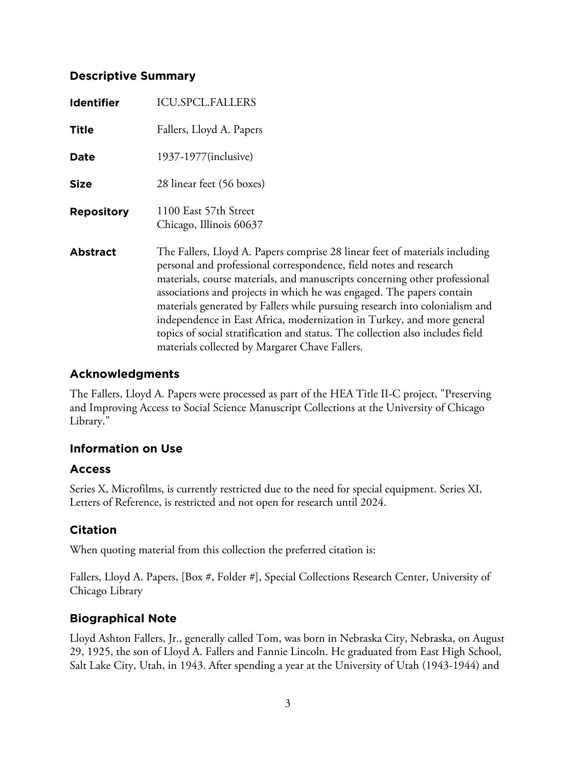## **Descriptive Summary**

| <b>Identifier</b> | <b>ICU.SPCL.FALLERS</b>                                                                                                                                                                                                                                                                                                                                                                                                                                                                                                                                                                               |
|-------------------|-------------------------------------------------------------------------------------------------------------------------------------------------------------------------------------------------------------------------------------------------------------------------------------------------------------------------------------------------------------------------------------------------------------------------------------------------------------------------------------------------------------------------------------------------------------------------------------------------------|
| <b>Title</b>      | Fallers, Lloyd A. Papers                                                                                                                                                                                                                                                                                                                                                                                                                                                                                                                                                                              |
| Date              | 1937-1977(inclusive)                                                                                                                                                                                                                                                                                                                                                                                                                                                                                                                                                                                  |
| <b>Size</b>       | 28 linear feet (56 boxes)                                                                                                                                                                                                                                                                                                                                                                                                                                                                                                                                                                             |
| <b>Repository</b> | 1100 East 57th Street<br>Chicago, Illinois 60637                                                                                                                                                                                                                                                                                                                                                                                                                                                                                                                                                      |
| <b>Abstract</b>   | The Fallers, Lloyd A. Papers comprise 28 linear feet of materials including<br>personal and professional correspondence, field notes and research<br>materials, course materials, and manuscripts concerning other professional<br>associations and projects in which he was engaged. The papers contain<br>materials generated by Fallers while pursuing research into colonialism and<br>independence in East Africa, modernization in Turkey, and more general<br>topics of social stratification and status. The collection also includes field<br>materials collected by Margaret Chave Fallers. |

## **Acknowledgments**

The Fallers, Lloyd A. Papers were processed as part of the HEA Title II-C project, "Preserving and Improving Access to Social Science Manuscript Collections at the University of Chicago Library."

## **Information on Use**

## **Access**

Series X, Microfilms, is currently restricted due to the need for special equipment. Series XI, Letters of Reference, is restricted and not open for research until 2024.

## **Citation**

When quoting material from this collection the preferred citation is:

Fallers, Lloyd A. Papers, [Box #, Folder #], Special Collections Research Center, University of Chicago Library

## **Biographical Note**

Lloyd Ashton Fallers, Jr., generally called Tom, was born in Nebraska City, Nebraska, on August 29, 1925, the son of Lloyd A. Fallers and Fannie Lincoln. He graduated from East High School, Salt Lake City, Utah, in 1943. After spending a year at the University of Utah (1943-1944) and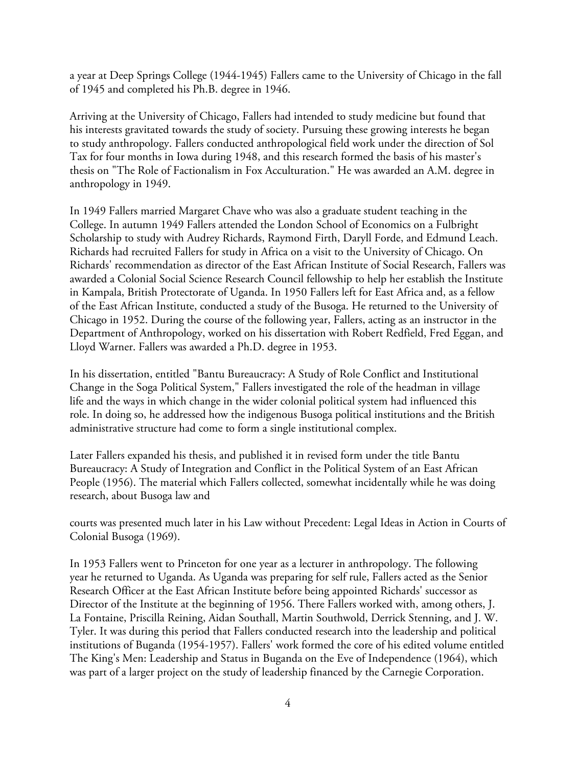a year at Deep Springs College (1944-1945) Fallers came to the University of Chicago in the fall of 1945 and completed his Ph.B. degree in 1946.

Arriving at the University of Chicago, Fallers had intended to study medicine but found that his interests gravitated towards the study of society. Pursuing these growing interests he began to study anthropology. Fallers conducted anthropological field work under the direction of Sol Tax for four months in Iowa during 1948, and this research formed the basis of his master's thesis on "The Role of Factionalism in Fox Acculturation." He was awarded an A.M. degree in anthropology in 1949.

In 1949 Fallers married Margaret Chave who was also a graduate student teaching in the College. In autumn 1949 Fallers attended the London School of Economics on a Fulbright Scholarship to study with Audrey Richards, Raymond Firth, Daryll Forde, and Edmund Leach. Richards had recruited Fallers for study in Africa on a visit to the University of Chicago. On Richards' recommendation as director of the East African Institute of Social Research, Fallers was awarded a Colonial Social Science Research Council fellowship to help her establish the Institute in Kampala, British Protectorate of Uganda. In 1950 Fallers left for East Africa and, as a fellow of the East African Institute, conducted a study of the Busoga. He returned to the University of Chicago in 1952. During the course of the following year, Fallers, acting as an instructor in the Department of Anthropology, worked on his dissertation with Robert Redfield, Fred Eggan, and Lloyd Warner. Fallers was awarded a Ph.D. degree in 1953.

In his dissertation, entitled "Bantu Bureaucracy: A Study of Role Conflict and Institutional Change in the Soga Political System," Fallers investigated the role of the headman in village life and the ways in which change in the wider colonial political system had influenced this role. In doing so, he addressed how the indigenous Busoga political institutions and the British administrative structure had come to form a single institutional complex.

Later Fallers expanded his thesis, and published it in revised form under the title Bantu Bureaucracy: A Study of Integration and Conflict in the Political System of an East African People (1956). The material which Fallers collected, somewhat incidentally while he was doing research, about Busoga law and

courts was presented much later in his Law without Precedent: Legal Ideas in Action in Courts of Colonial Busoga (1969).

In 1953 Fallers went to Princeton for one year as a lecturer in anthropology. The following year he returned to Uganda. As Uganda was preparing for self rule, Fallers acted as the Senior Research Officer at the East African Institute before being appointed Richards' successor as Director of the Institute at the beginning of 1956. There Fallers worked with, among others, J. La Fontaine, Priscilla Reining, Aidan Southall, Martin Southwold, Derrick Stenning, and J. W. Tyler. It was during this period that Fallers conducted research into the leadership and political institutions of Buganda (1954-1957). Fallers' work formed the core of his edited volume entitled The King's Men: Leadership and Status in Buganda on the Eve of Independence (1964), which was part of a larger project on the study of leadership financed by the Carnegie Corporation.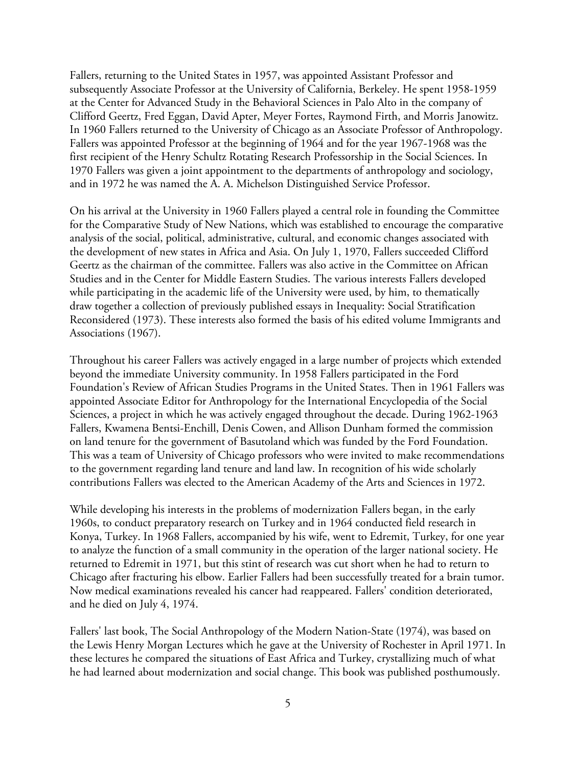Fallers, returning to the United States in 1957, was appointed Assistant Professor and subsequently Associate Professor at the University of California, Berkeley. He spent 1958-1959 at the Center for Advanced Study in the Behavioral Sciences in Palo Alto in the company of Clifford Geertz, Fred Eggan, David Apter, Meyer Fortes, Raymond Firth, and Morris Janowitz. In 1960 Fallers returned to the University of Chicago as an Associate Professor of Anthropology. Fallers was appointed Professor at the beginning of 1964 and for the year 1967-1968 was the first recipient of the Henry Schultz Rotating Research Professorship in the Social Sciences. In 1970 Fallers was given a joint appointment to the departments of anthropology and sociology, and in 1972 he was named the A. A. Michelson Distinguished Service Professor.

On his arrival at the University in 1960 Fallers played a central role in founding the Committee for the Comparative Study of New Nations, which was established to encourage the comparative analysis of the social, political, administrative, cultural, and economic changes associated with the development of new states in Africa and Asia. On July 1, 1970, Fallers succeeded Clifford Geertz as the chairman of the committee. Fallers was also active in the Committee on African Studies and in the Center for Middle Eastern Studies. The various interests Fallers developed while participating in the academic life of the University were used, by him, to thematically draw together a collection of previously published essays in Inequality: Social Stratification Reconsidered (1973). These interests also formed the basis of his edited volume Immigrants and Associations (1967).

Throughout his career Fallers was actively engaged in a large number of projects which extended beyond the immediate University community. In 1958 Fallers participated in the Ford Foundation's Review of African Studies Programs in the United States. Then in 1961 Fallers was appointed Associate Editor for Anthropology for the International Encyclopedia of the Social Sciences, a project in which he was actively engaged throughout the decade. During 1962-1963 Fallers, Kwamena Bentsi-Enchill, Denis Cowen, and Allison Dunham formed the commission on land tenure for the government of Basutoland which was funded by the Ford Foundation. This was a team of University of Chicago professors who were invited to make recommendations to the government regarding land tenure and land law. In recognition of his wide scholarly contributions Fallers was elected to the American Academy of the Arts and Sciences in 1972.

While developing his interests in the problems of modernization Fallers began, in the early 1960s, to conduct preparatory research on Turkey and in 1964 conducted field research in Konya, Turkey. In 1968 Fallers, accompanied by his wife, went to Edremit, Turkey, for one year to analyze the function of a small community in the operation of the larger national society. He returned to Edremit in 1971, but this stint of research was cut short when he had to return to Chicago after fracturing his elbow. Earlier Fallers had been successfully treated for a brain tumor. Now medical examinations revealed his cancer had reappeared. Fallers' condition deteriorated, and he died on July 4, 1974.

Fallers' last book, The Social Anthropology of the Modern Nation-State (1974), was based on the Lewis Henry Morgan Lectures which he gave at the University of Rochester in April 1971. In these lectures he compared the situations of East Africa and Turkey, crystallizing much of what he had learned about modernization and social change. This book was published posthumously.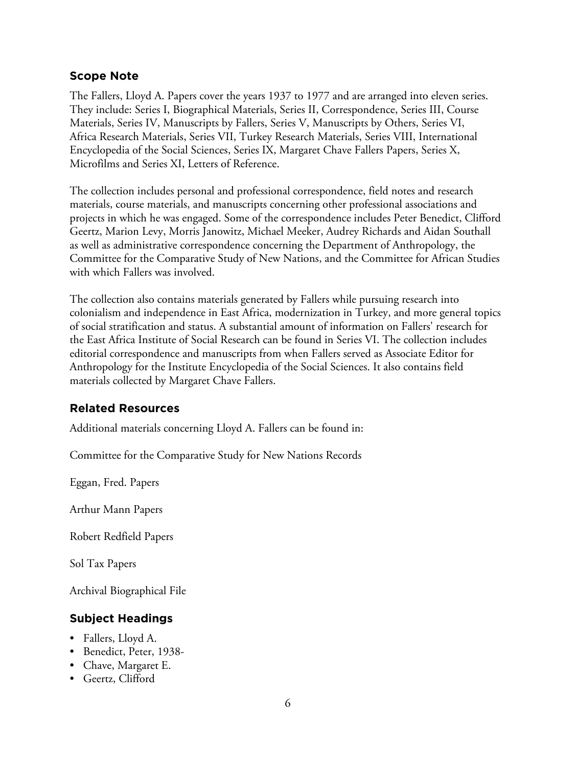### **Scope Note**

The Fallers, Lloyd A. Papers cover the years 1937 to 1977 and are arranged into eleven series. They include: Series I, Biographical Materials, Series II, Correspondence, Series III, Course Materials, Series IV, Manuscripts by Fallers, Series V, Manuscripts by Others, Series VI, Africa Research Materials, Series VII, Turkey Research Materials, Series VIII, International Encyclopedia of the Social Sciences, Series IX, Margaret Chave Fallers Papers, Series X, Microfilms and Series XI, Letters of Reference.

The collection includes personal and professional correspondence, field notes and research materials, course materials, and manuscripts concerning other professional associations and projects in which he was engaged. Some of the correspondence includes Peter Benedict, Clifford Geertz, Marion Levy, Morris Janowitz, Michael Meeker, Audrey Richards and Aidan Southall as well as administrative correspondence concerning the Department of Anthropology, the Committee for the Comparative Study of New Nations, and the Committee for African Studies with which Fallers was involved.

The collection also contains materials generated by Fallers while pursuing research into colonialism and independence in East Africa, modernization in Turkey, and more general topics of social stratification and status. A substantial amount of information on Fallers' research for the East Africa Institute of Social Research can be found in Series VI. The collection includes editorial correspondence and manuscripts from when Fallers served as Associate Editor for Anthropology for the Institute Encyclopedia of the Social Sciences. It also contains field materials collected by Margaret Chave Fallers.

## **Related Resources**

Additional materials concerning Lloyd A. Fallers can be found in:

Committee for the Comparative Study for New Nations Records

Eggan, Fred. Papers

Arthur Mann Papers

Robert Redfield Papers

Sol Tax Papers

Archival Biographical File

## **Subject Headings**

- Fallers, Lloyd A.
- Benedict, Peter, 1938-
- Chave, Margaret E.
- Geertz, Clifford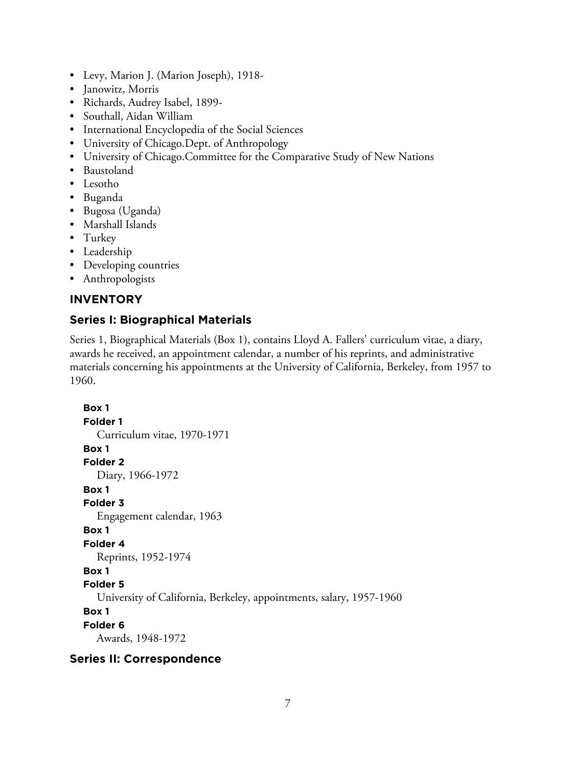- Levy, Marion J. (Marion Joseph), 1918-
- Janowitz, Morris
- Richards, Audrey Isabel, 1899-
- Southall, Aidan William
- International Encyclopedia of the Social Sciences
- University of Chicago.Dept. of Anthropology
- University of Chicago.Committee for the Comparative Study of New Nations
- Baustoland
- Lesotho
- Buganda
- Bugosa (Uganda)
- Marshall Islands
- Turkey
- Leadership
- Developing countries
- Anthropologists

### **INVENTORY**

## **Series I: Biographical Materials**

Series 1, Biographical Materials (Box 1), contains Lloyd A. Fallers' curriculum vitae, a diary, awards he received, an appointment calendar, a number of his reprints, and administrative materials concerning his appointments at the University of California, Berkeley, from 1957 to 1960.

```
Box 1
Folder 1
  Curriculum vitae, 1970-1971
Box 1
Folder 2
  Diary, 1966-1972
Box 1
Folder 3
  Engagement calendar, 1963
Box 1
Folder 4
  Reprints, 1952-1974
Box 1
Folder 5
  University of California, Berkeley, appointments, salary, 1957-1960
Box 1
Folder 6
  Awards, 1948-1972
```
#### **Series II: Correspondence**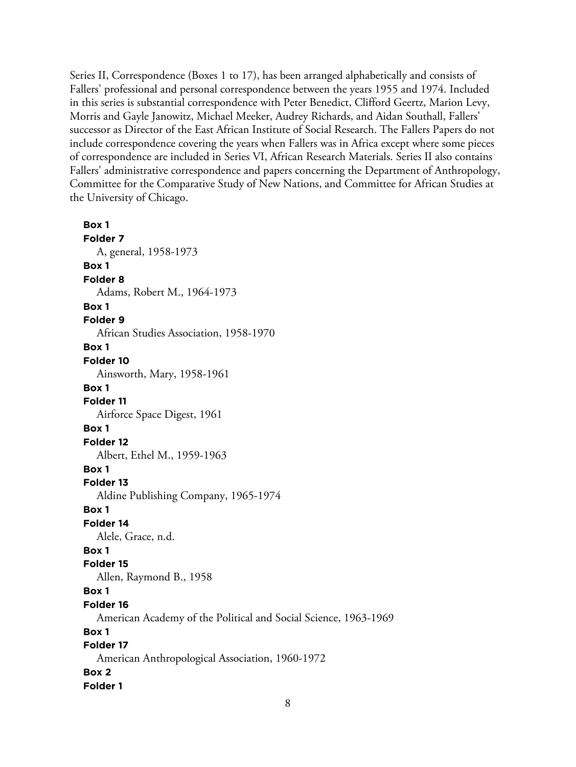Series II, Correspondence (Boxes 1 to 17), has been arranged alphabetically and consists of Fallers' professional and personal correspondence between the years 1955 and 1974. Included in this series is substantial correspondence with Peter Benedict, Clifford Geertz, Marion Levy, Morris and Gayle Janowitz, Michael Meeker, Audrey Richards, and Aidan Southall, Fallers' successor as Director of the East African Institute of Social Research. The Fallers Papers do not include correspondence covering the years when Fallers was in Africa except where some pieces of correspondence are included in Series VI, African Research Materials. Series II also contains Fallers' administrative correspondence and papers concerning the Department of Anthropology, Committee for the Comparative Study of New Nations, and Committee for African Studies at the University of Chicago.

**Box 1 Folder 7** A, general, 1958-1973 **Box 1 Folder 8** Adams, Robert M., 1964-1973 **Box 1 Folder 9** African Studies Association, 1958-1970 **Box 1 Folder 10** Ainsworth, Mary, 1958-1961 **Box 1 Folder 11** Airforce Space Digest, 1961 **Box 1 Folder 12** Albert, Ethel M., 1959-1963 **Box 1 Folder 13** Aldine Publishing Company, 1965-1974 **Box 1 Folder 14** Alele, Grace, n.d. **Box 1 Folder 15** Allen, Raymond B., 1958 **Box 1 Folder 16** American Academy of the Political and Social Science, 1963-1969 **Box 1 Folder 17** American Anthropological Association, 1960-1972 **Box 2 Folder 1**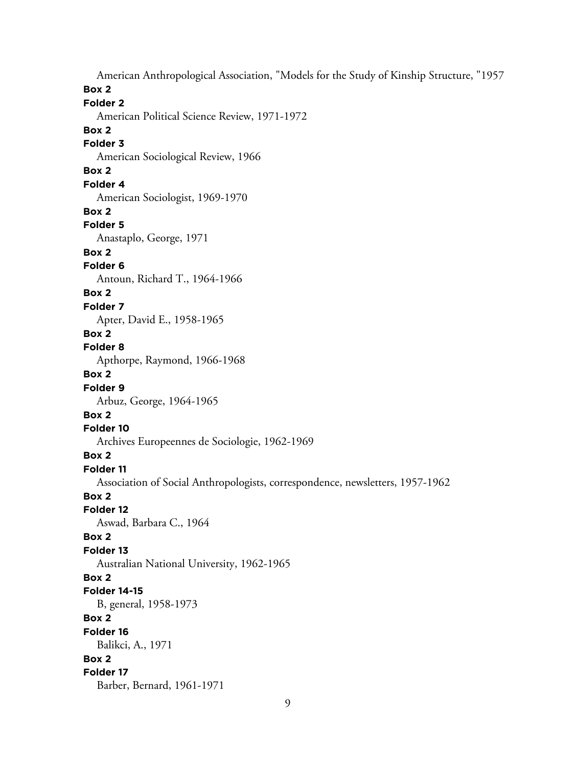American Anthropological Association, "Models for the Study of Kinship Structure, "1957 **Box 2 Folder 2** American Political Science Review, 1971-1972 **Box 2 Folder 3** American Sociological Review, 1966 **Box 2 Folder 4** American Sociologist, 1969-1970 **Box 2 Folder 5** Anastaplo, George, 1971 **Box 2 Folder 6** Antoun, Richard T., 1964-1966 **Box 2 Folder 7** Apter, David E., 1958-1965 **Box 2 Folder 8** Apthorpe, Raymond, 1966-1968 **Box 2 Folder 9** Arbuz, George, 1964-1965 **Box 2 Folder 10** Archives Europeennes de Sociologie, 1962-1969 **Box 2 Folder 11** Association of Social Anthropologists, correspondence, newsletters, 1957-1962 **Box 2 Folder 12** Aswad, Barbara C., 1964 **Box 2 Folder 13** Australian National University, 1962-1965 **Box 2 Folder 14-15** B, general, 1958-1973 **Box 2 Folder 16** Balikci, A., 1971 **Box 2 Folder 17** Barber, Bernard, 1961-1971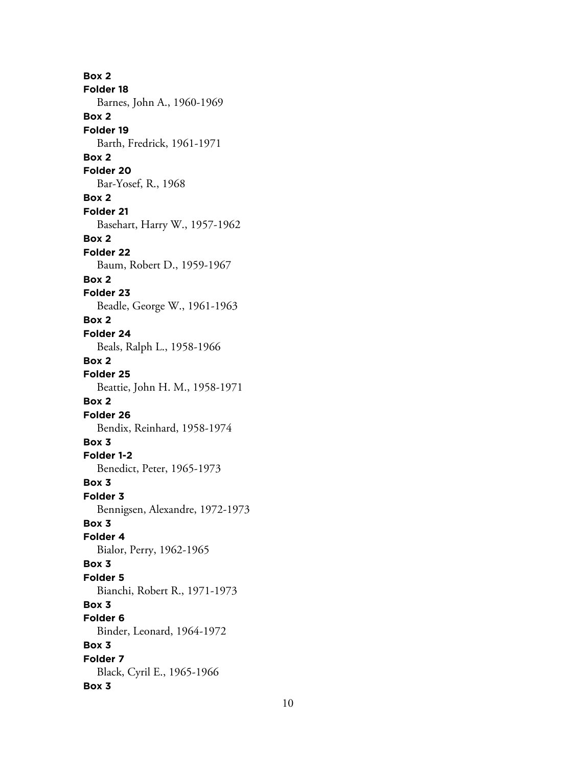**Box 2 Folder 18** Barnes, John A., 1960-1969 **Box 2 Folder 19** Barth, Fredrick, 1961-1971 **Box 2 Folder 20** Bar-Yosef, R., 1968 **Box 2 Folder 21** Basehart, Harry W., 1957-1962 **Box 2 Folder 22** Baum, Robert D., 1959-1967 **Box 2 Folder 23** Beadle, George W., 1961-1963 **Box 2 Folder 24** Beals, Ralph L., 1958-1966 **Box 2 Folder 25** Beattie, John H. M., 1958-1971 **Box 2 Folder 26** Bendix, Reinhard, 1958-1974 **Box 3 Folder 1-2** Benedict, Peter, 1965-1973 **Box 3 Folder 3** Bennigsen, Alexandre, 1972-1973 **Box 3 Folder 4** Bialor, Perry, 1962-1965 **Box 3 Folder 5** Bianchi, Robert R., 1971-1973 **Box 3 Folder 6** Binder, Leonard, 1964-1972 **Box 3 Folder 7** Black, Cyril E., 1965-1966 **Box 3**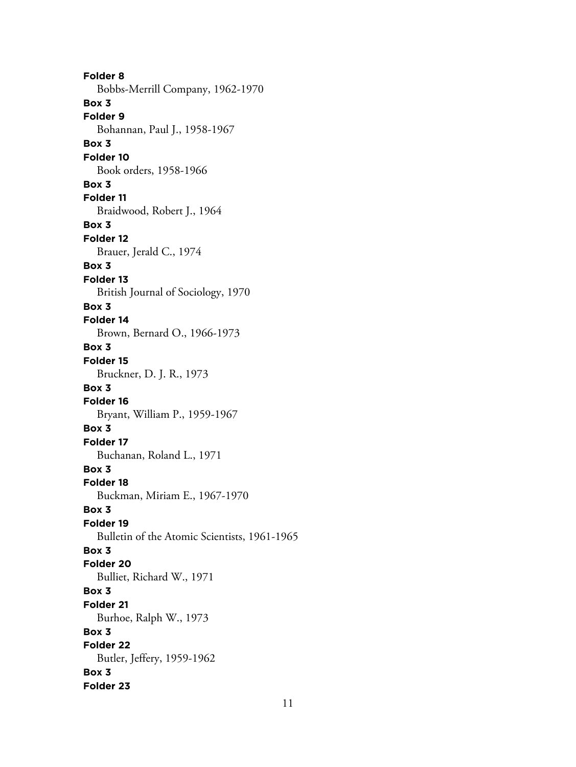**Folder 8** Bobbs-Merrill Company, 1962-1970 **Box 3 Folder 9** Bohannan, Paul J., 1958-1967 **Box 3 Folder 10** Book orders, 1958-1966 **Box 3 Folder 11** Braidwood, Robert J., 1964 **Box 3 Folder 12** Brauer, Jerald C., 1974 **Box 3 Folder 13** British Journal of Sociology, 1970 **Box 3 Folder 14** Brown, Bernard O., 1966-1973 **Box 3 Folder 15** Bruckner, D. J. R., 1973 **Box 3 Folder 16** Bryant, William P., 1959-1967 **Box 3 Folder 17** Buchanan, Roland L., 1971 **Box 3 Folder 18** Buckman, Miriam E., 1967-1970 **Box 3 Folder 19** Bulletin of the Atomic Scientists, 1961-1965 **Box 3 Folder 20** Bulliet, Richard W., 1971 **Box 3 Folder 21** Burhoe, Ralph W., 1973 **Box 3 Folder 22** Butler, Jeffery, 1959-1962 **Box 3 Folder 23**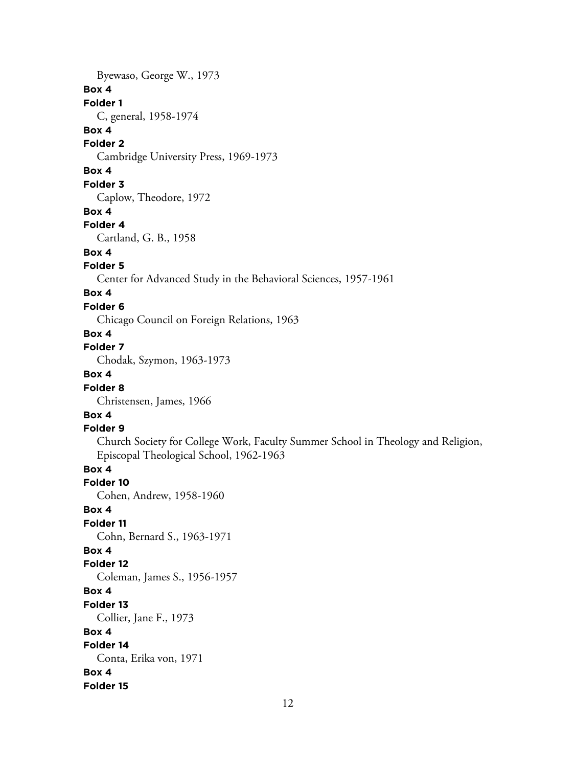Byewaso, George W., 1973

#### **Box 4**

**Folder 1**

C, general, 1958-1974

### **Box 4**

**Folder 2**

Cambridge University Press, 1969-1973

## **Box 4**

**Folder 3**

Caplow, Theodore, 1972

#### **Box 4**

#### **Folder 4**

Cartland, G. B., 1958

### **Box 4**

### **Folder 5**

Center for Advanced Study in the Behavioral Sciences, 1957-1961

## **Box 4**

### **Folder 6**

Chicago Council on Foreign Relations, 1963

#### **Box 4**

## **Folder 7**

Chodak, Szymon, 1963-1973

## **Box 4**

### **Folder 8**

Christensen, James, 1966

## **Box 4**

#### **Folder 9**

Church Society for College Work, Faculty Summer School in Theology and Religion, Episcopal Theological School, 1962-1963

## **Box 4**

**Folder 10**

Cohen, Andrew, 1958-1960

#### **Box 4**

**Folder 11**

Cohn, Bernard S., 1963-1971

## **Box 4**

#### **Folder 12** Coleman, James S., 1956-1957

**Box 4**

## **Folder 13**

Collier, Jane F., 1973

## **Box 4**

## **Folder 14**

Conta, Erika von, 1971

## **Box 4**

**Folder 15**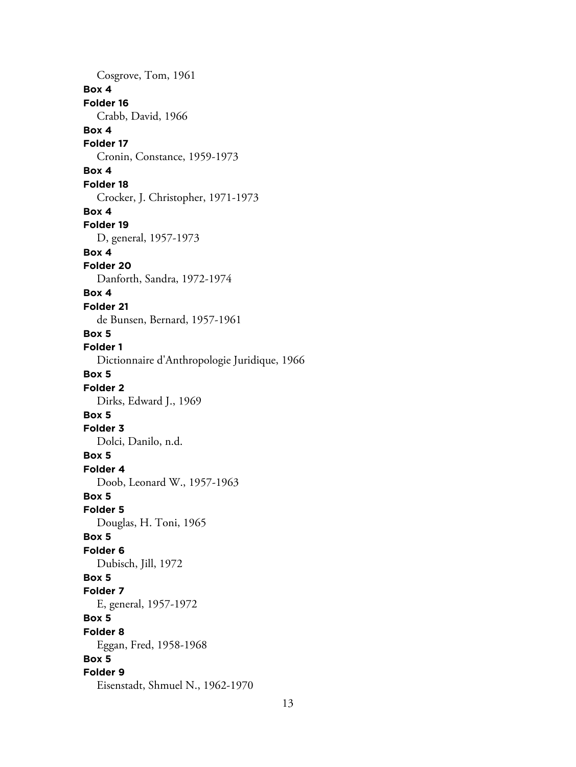Cosgrove, Tom, 1961 **Box 4 Folder 16** Crabb, David, 1966 **Box 4 Folder 17** Cronin, Constance, 1959-1973 **Box 4 Folder 18** Crocker, J. Christopher, 1971-1973 **Box 4 Folder 19** D, general, 1957-1973 **Box 4 Folder 20** Danforth, Sandra, 1972-1974 **Box 4 Folder 21** de Bunsen, Bernard, 1957-1961 **Box 5 Folder 1** Dictionnaire d'Anthropologie Juridique, 1966 **Box 5 Folder 2** Dirks, Edward J., 1969 **Box 5 Folder 3** Dolci, Danilo, n.d. **Box 5 Folder 4** Doob, Leonard W., 1957-1963 **Box 5 Folder 5** Douglas, H. Toni, 1965 **Box 5 Folder 6** Dubisch, Jill, 1972 **Box 5 Folder 7** E, general, 1957-1972 **Box 5 Folder 8** Eggan, Fred, 1958-1968 **Box 5 Folder 9** Eisenstadt, Shmuel N., 1962-1970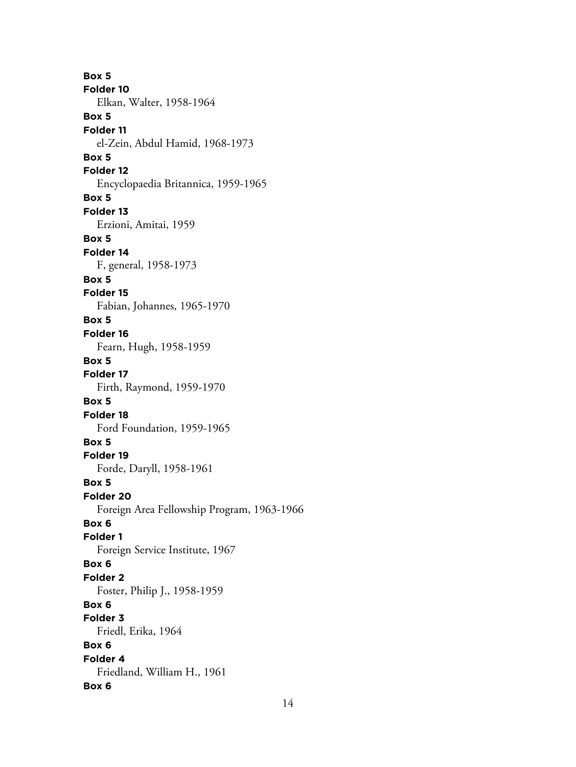**Box 5 Folder 10** Elkan, Walter, 1958-1964 **Box 5 Folder 11** el-Zein, Abdul Hamid, 1968-1973 **Box 5 Folder 12** Encyclopaedia Britannica, 1959-1965 **Box 5 Folder 13** Erzioni, Amitai, 1959 **Box 5 Folder 14** F, general, 1958-1973 **Box 5 Folder 15** Fabian, Johannes, 1965-1970 **Box 5 Folder 16** Fearn, Hugh, 1958-1959 **Box 5 Folder 17** Firth, Raymond, 1959-1970 **Box 5 Folder 18** Ford Foundation, 1959-1965 **Box 5 Folder 19** Forde, Daryll, 1958-1961 **Box 5 Folder 20** Foreign Area Fellowship Program, 1963-1966 **Box 6 Folder 1** Foreign Service Institute, 1967 **Box 6 Folder 2** Foster, Philip J., 1958-1959 **Box 6 Folder 3** Friedl, Erika, 1964 **Box 6 Folder 4** Friedland, William H., 1961 **Box 6**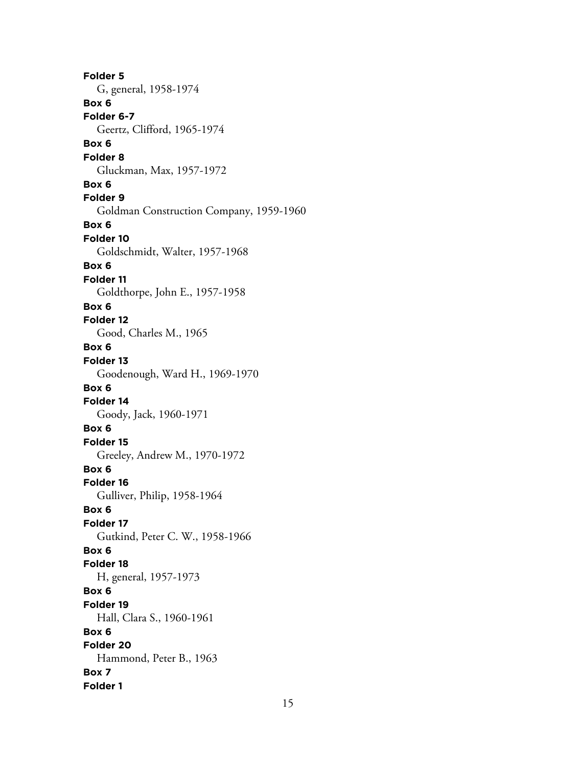**Folder 5** G, general, 1958-1974 **Box 6 Folder 6-7** Geertz, Clifford, 1965-1974 **Box 6 Folder 8** Gluckman, Max, 1957-1972 **Box 6 Folder 9** Goldman Construction Company, 1959-1960 **Box 6 Folder 10** Goldschmidt, Walter, 1957-1968 **Box 6 Folder 11** Goldthorpe, John E., 1957-1958 **Box 6 Folder 12** Good, Charles M., 1965 **Box 6 Folder 13** Goodenough, Ward H., 1969-1970 **Box 6 Folder 14** Goody, Jack, 1960-1971 **Box 6 Folder 15** Greeley, Andrew M., 1970-1972 **Box 6 Folder 16** Gulliver, Philip, 1958-1964 **Box 6 Folder 17** Gutkind, Peter C. W., 1958-1966 **Box 6 Folder 18** H, general, 1957-1973 **Box 6 Folder 19** Hall, Clara S., 1960-1961 **Box 6 Folder 20** Hammond, Peter B., 1963 **Box 7 Folder 1**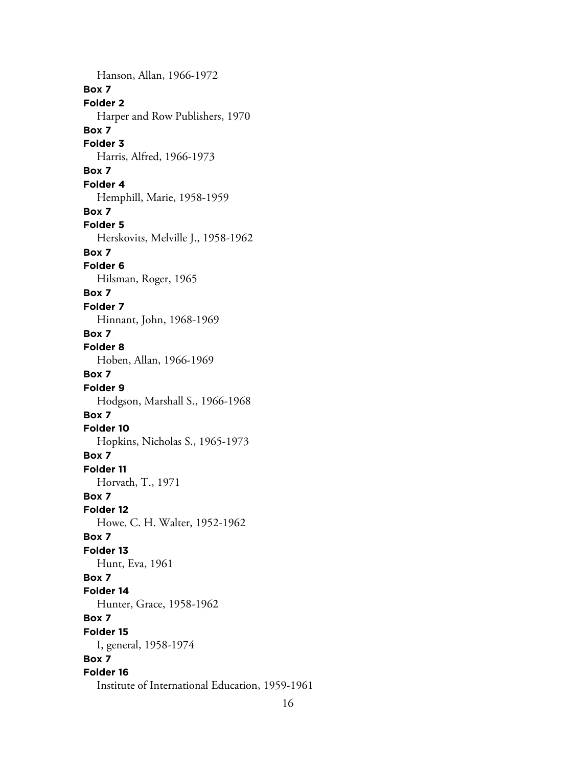Hanson, Allan, 1966-1972 **Box 7 Folder 2** Harper and Row Publishers, 1970 **Box 7 Folder 3** Harris, Alfred, 1966-1973 **Box 7 Folder 4** Hemphill, Marie, 1958-1959 **Box 7 Folder 5** Herskovits, Melville J., 1958-1962 **Box 7 Folder 6** Hilsman, Roger, 1965 **Box 7 Folder 7** Hinnant, John, 1968-1969 **Box 7 Folder 8** Hoben, Allan, 1966-1969 **Box 7 Folder 9** Hodgson, Marshall S., 1966-1968 **Box 7 Folder 10** Hopkins, Nicholas S., 1965-1973 **Box 7 Folder 11** Horvath, T., 1971 **Box 7 Folder 12** Howe, C. H. Walter, 1952-1962 **Box 7 Folder 13** Hunt, Eva, 1961 **Box 7 Folder 14** Hunter, Grace, 1958-1962 **Box 7 Folder 15** I, general, 1958-1974 **Box 7 Folder 16** Institute of International Education, 1959-1961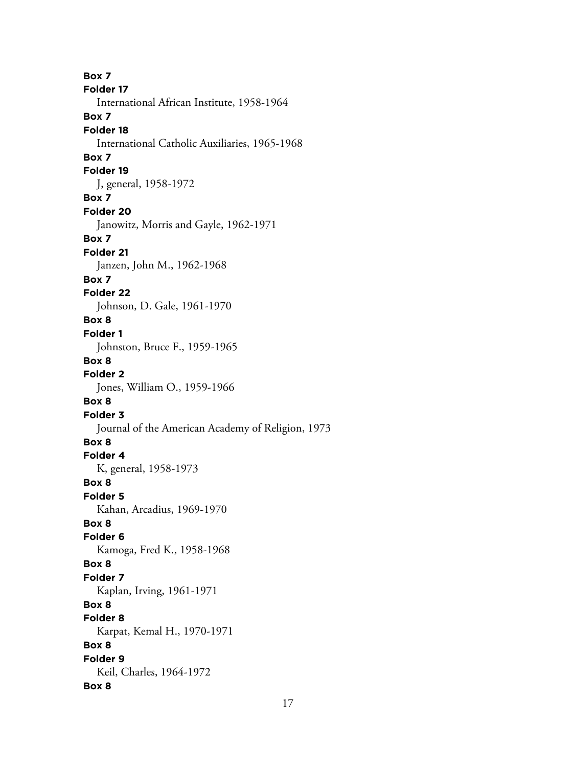**Box 7 Folder 17** International African Institute, 1958-1964 **Box 7 Folder 18** International Catholic Auxiliaries, 1965-1968 **Box 7 Folder 19** J, general, 1958-1972 **Box 7 Folder 20** Janowitz, Morris and Gayle, 1962-1971 **Box 7 Folder 21** Janzen, John M., 1962-1968 **Box 7 Folder 22** Johnson, D. Gale, 1961-1970 **Box 8 Folder 1** Johnston, Bruce F., 1959-1965 **Box 8 Folder 2** Jones, William O., 1959-1966 **Box 8 Folder 3** Journal of the American Academy of Religion, 1973 **Box 8 Folder 4** K, general, 1958-1973 **Box 8 Folder 5** Kahan, Arcadius, 1969-1970 **Box 8 Folder 6** Kamoga, Fred K., 1958-1968 **Box 8 Folder 7** Kaplan, Irving, 1961-1971 **Box 8 Folder 8** Karpat, Kemal H., 1970-1971 **Box 8 Folder 9** Keil, Charles, 1964-1972 **Box 8**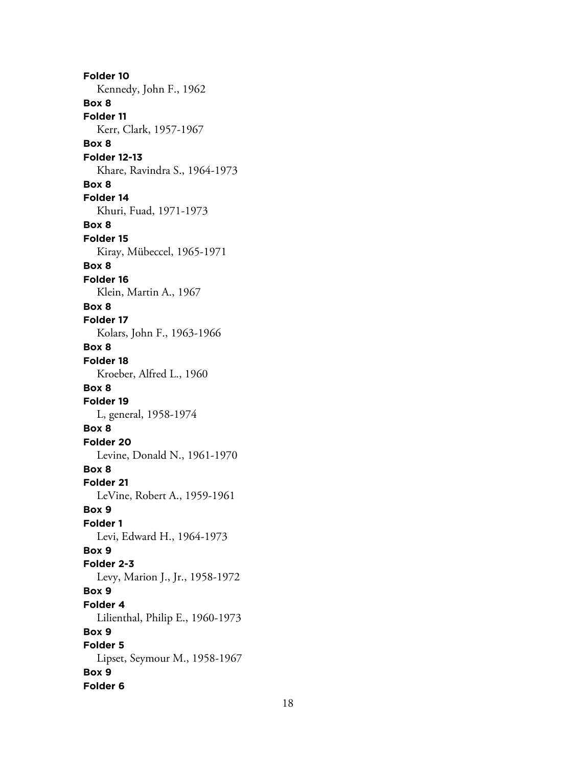**Folder 10** Kennedy, John F., 1962 **Box 8 Folder 11** Kerr, Clark, 1957-1967 **Box 8 Folder 12-13** Khare, Ravindra S., 1964-1973 **Box 8 Folder 14** Khuri, Fuad, 1971-1973 **Box 8 Folder 15** Kiray, Mübeccel, 1965-1971 **Box 8 Folder 16** Klein, Martin A., 1967 **Box 8 Folder 17** Kolars, John F., 1963-1966 **Box 8 Folder 18** Kroeber, Alfred L., 1960 **Box 8 Folder 19** L, general, 1958-1974 **Box 8 Folder 20** Levine, Donald N., 1961-1970 **Box 8 Folder 21** LeVine, Robert A., 1959-1961 **Box 9 Folder 1** Levi, Edward H., 1964-1973 **Box 9 Folder 2-3** Levy, Marion J., Jr., 1958-1972 **Box 9 Folder 4** Lilienthal, Philip E., 1960-1973 **Box 9 Folder 5** Lipset, Seymour M., 1958-1967 **Box 9 Folder 6**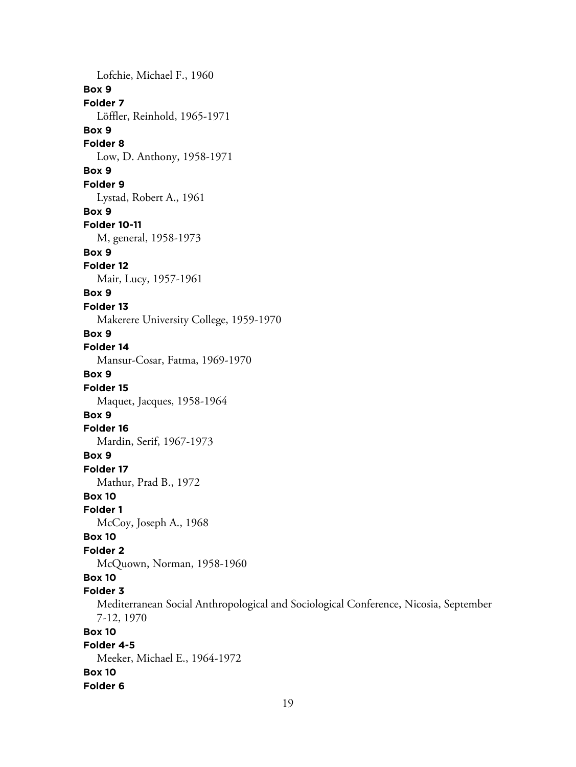Lofchie, Michael F., 1960 **Box 9 Folder 7** Löffler, Reinhold, 1965-1971 **Box 9 Folder 8** Low, D. Anthony, 1958-1971 **Box 9 Folder 9** Lystad, Robert A., 1961 **Box 9 Folder 10-11** M, general, 1958-1973 **Box 9 Folder 12** Mair, Lucy, 1957-1961 **Box 9 Folder 13** Makerere University College, 1959-1970 **Box 9 Folder 14** Mansur-Cosar, Fatma, 1969-1970 **Box 9 Folder 15** Maquet, Jacques, 1958-1964 **Box 9 Folder 16** Mardin, Serif, 1967-1973 **Box 9 Folder 17** Mathur, Prad B., 1972 **Box 10 Folder 1** McCoy, Joseph A., 1968 **Box 10 Folder 2** McQuown, Norman, 1958-1960 **Box 10 Folder 3** Mediterranean Social Anthropological and Sociological Conference, Nicosia, September 7-12, 1970 **Box 10 Folder 4-5** Meeker, Michael E., 1964-1972 **Box 10 Folder 6**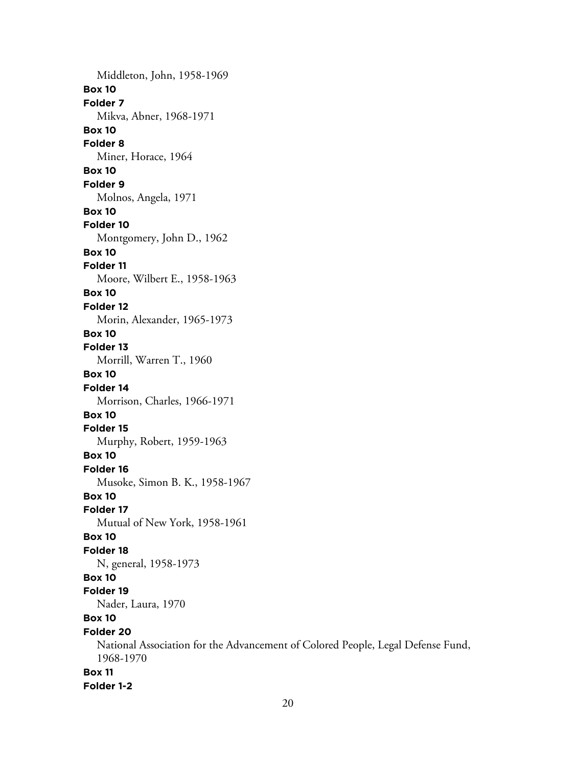Middleton, John, 1958-1969 **Box 10 Folder 7** Mikva, Abner, 1968-1971 **Box 10 Folder 8** Miner, Horace, 1964 **Box 10 Folder 9** Molnos, Angela, 1971 **Box 10 Folder 10** Montgomery, John D., 1962 **Box 10 Folder 11** Moore, Wilbert E., 1958-1963 **Box 10 Folder 12** Morin, Alexander, 1965-1973 **Box 10 Folder 13** Morrill, Warren T., 1960 **Box 10 Folder 14** Morrison, Charles, 1966-1971 **Box 10 Folder 15** Murphy, Robert, 1959-1963 **Box 10 Folder 16** Musoke, Simon B. K., 1958-1967 **Box 10 Folder 17** Mutual of New York, 1958-1961 **Box 10 Folder 18** N, general, 1958-1973 **Box 10 Folder 19** Nader, Laura, 1970 **Box 10 Folder 20** National Association for the Advancement of Colored People, Legal Defense Fund, 1968-1970 **Box 11 Folder 1-2**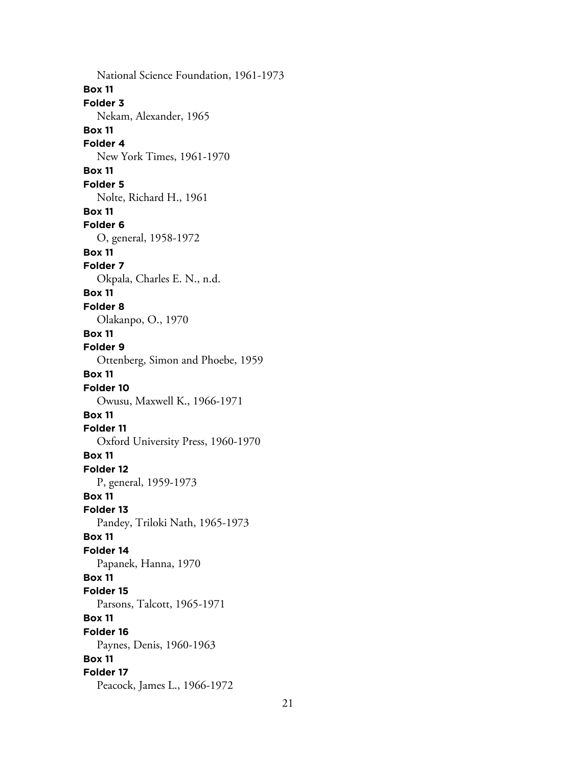National Science Foundation, 1961-1973 **Box 11 Folder 3** Nekam, Alexander, 1965 **Box 11 Folder 4** New York Times, 1961-1970 **Box 11 Folder 5** Nolte, Richard H., 1961 **Box 11 Folder 6** O, general, 1958-1972 **Box 11 Folder 7** Okpala, Charles E. N., n.d. **Box 11 Folder 8** Olakanpo, O., 1970 **Box 11 Folder 9** Ottenberg, Simon and Phoebe, 1959 **Box 11 Folder 10** Owusu, Maxwell K., 1966-1971 **Box 11 Folder 11** Oxford University Press, 1960-1970 **Box 11 Folder 12** P, general, 1959-1973 **Box 11 Folder 13** Pandey, Triloki Nath, 1965-1973 **Box 11 Folder 14** Papanek, Hanna, 1970 **Box 11 Folder 15** Parsons, Talcott, 1965-1971 **Box 11 Folder 16** Paynes, Denis, 1960-1963 **Box 11 Folder 17** Peacock, James L., 1966-1972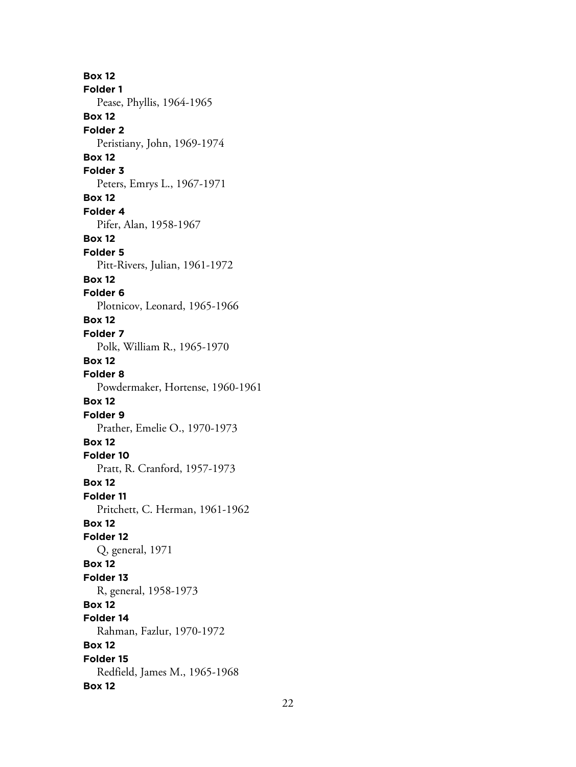**Box 12 Folder 1** Pease, Phyllis, 1964-1965 **Box 12 Folder 2** Peristiany, John, 1969-1974 **Box 12 Folder 3** Peters, Emrys L., 1967-1971 **Box 12 Folder 4** Pifer, Alan, 1958-1967 **Box 12 Folder 5** Pitt-Rivers, Julian, 1961-1972 **Box 12 Folder 6** Plotnicov, Leonard, 1965-1966 **Box 12 Folder 7** Polk, William R., 1965-1970 **Box 12 Folder 8** Powdermaker, Hortense, 1960-1961 **Box 12 Folder 9** Prather, Emelie O., 1970-1973 **Box 12 Folder 10** Pratt, R. Cranford, 1957-1973 **Box 12 Folder 11** Pritchett, C. Herman, 1961-1962 **Box 12 Folder 12** Q, general, 1971 **Box 12 Folder 13** R, general, 1958-1973 **Box 12 Folder 14** Rahman, Fazlur, 1970-1972 **Box 12 Folder 15** Redfield, James M., 1965-1968 **Box 12**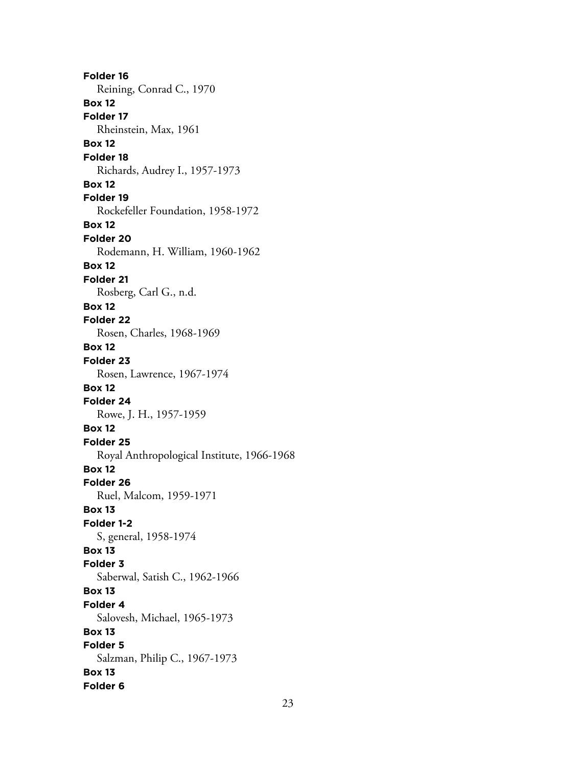**Folder 16** Reining, Conrad C., 1970 **Box 12 Folder 17** Rheinstein, Max, 1961 **Box 12 Folder 18** Richards, Audrey I., 1957-1973 **Box 12 Folder 19** Rockefeller Foundation, 1958-1972 **Box 12 Folder 20** Rodemann, H. William, 1960-1962 **Box 12 Folder 21** Rosberg, Carl G., n.d. **Box 12 Folder 22** Rosen, Charles, 1968-1969 **Box 12 Folder 23** Rosen, Lawrence, 1967-1974 **Box 12 Folder 24** Rowe, J. H., 1957-1959 **Box 12 Folder 25** Royal Anthropological Institute, 1966-1968 **Box 12 Folder 26** Ruel, Malcom, 1959-1971 **Box 13 Folder 1-2** S, general, 1958-1974 **Box 13 Folder 3** Saberwal, Satish C., 1962-1966 **Box 13 Folder 4** Salovesh, Michael, 1965-1973 **Box 13 Folder 5** Salzman, Philip C., 1967-1973 **Box 13 Folder 6**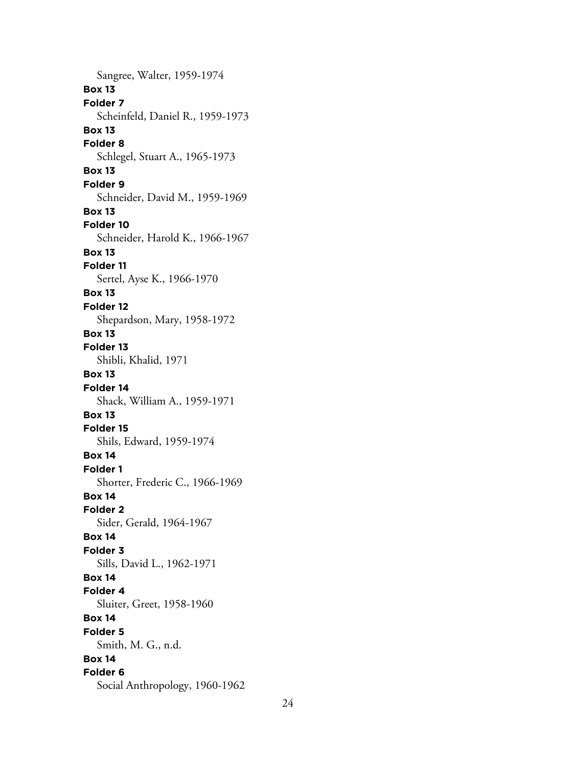Sangree, Walter, 1959-1974 **Box 13 Folder 7** Scheinfeld, Daniel R., 1959-1973 **Box 13 Folder 8** Schlegel, Stuart A., 1965-1973 **Box 13 Folder 9** Schneider, David M., 1959-1969 **Box 13 Folder 10** Schneider, Harold K., 1966-1967 **Box 13 Folder 11** Sertel, Ayse K., 1966-1970 **Box 13 Folder 12** Shepardson, Mary, 1958-1972 **Box 13 Folder 13** Shibli, Khalid, 1971 **Box 13 Folder 14** Shack, William A., 1959-1971 **Box 13 Folder 15** Shils, Edward, 1959-1974 **Box 14 Folder 1** Shorter, Frederic C., 1966-1969 **Box 14 Folder 2** Sider, Gerald, 1964-1967 **Box 14 Folder 3** Sills, David L., 1962-1971 **Box 14 Folder 4** Sluiter, Greet, 1958-1960 **Box 14 Folder 5** Smith, M. G., n.d. **Box 14 Folder 6** Social Anthropology, 1960-1962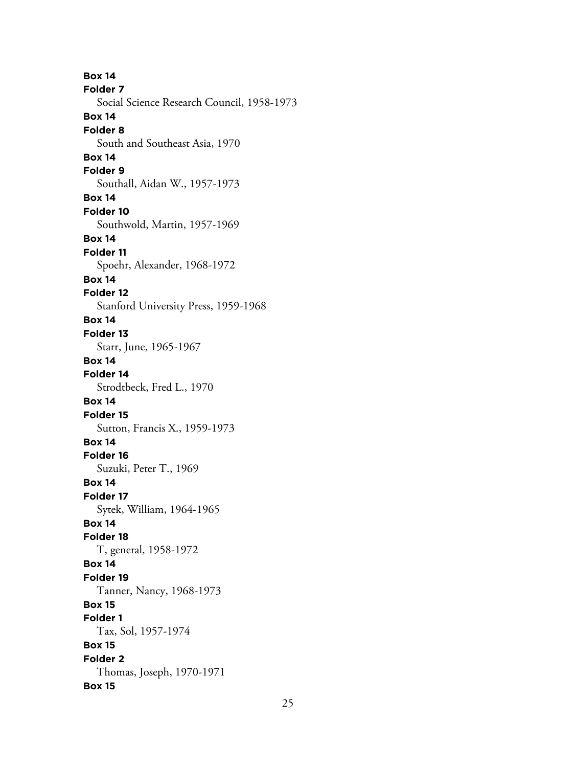**Box 14 Folder 7** Social Science Research Council, 1958-1973 **Box 14 Folder 8** South and Southeast Asia, 1970 **Box 14 Folder 9** Southall, Aidan W., 1957-1973 **Box 14 Folder 10** Southwold, Martin, 1957-1969 **Box 14 Folder 11** Spoehr, Alexander, 1968-1972 **Box 14 Folder 12** Stanford University Press, 1959-1968 **Box 14 Folder 13** Starr, June, 1965-1967 **Box 14 Folder 14** Strodtbeck, Fred L., 1970 **Box 14 Folder 15** Sutton, Francis X., 1959-1973 **Box 14 Folder 16** Suzuki, Peter T., 1969 **Box 14 Folder 17** Sytek, William, 1964-1965 **Box 14 Folder 18** T, general, 1958-1972 **Box 14 Folder 19** Tanner, Nancy, 1968-1973 **Box 15 Folder 1** Tax, Sol, 1957-1974 **Box 15 Folder 2** Thomas, Joseph, 1970-1971 **Box 15**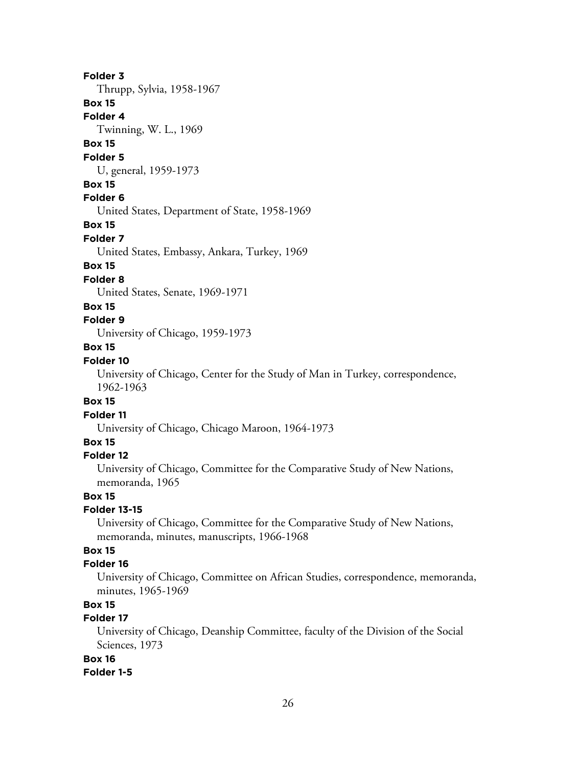#### **Folder 3**

Thrupp, Sylvia, 1958-1967

## **Box 15**

**Folder 4**

Twinning, W. L., 1969

## **Box 15**

#### **Folder 5**

U, general, 1959-1973

#### **Box 15**

#### **Folder 6**

United States, Department of State, 1958-1969

## **Box 15**

#### **Folder 7**

United States, Embassy, Ankara, Turkey, 1969

## **Box 15**

#### **Folder 8**

United States, Senate, 1969-1971

#### **Box 15**

**Folder 9**

University of Chicago, 1959-1973

#### **Box 15**

## **Folder 10**

University of Chicago, Center for the Study of Man in Turkey, correspondence, 1962-1963

#### **Box 15**

#### **Folder 11**

University of Chicago, Chicago Maroon, 1964-1973

## **Box 15**

#### **Folder 12**

University of Chicago, Committee for the Comparative Study of New Nations, memoranda, 1965

#### **Box 15**

#### **Folder 13-15**

University of Chicago, Committee for the Comparative Study of New Nations, memoranda, minutes, manuscripts, 1966-1968

## **Box 15**

#### **Folder 16**

University of Chicago, Committee on African Studies, correspondence, memoranda, minutes, 1965-1969

## **Box 15**

## **Folder 17**

University of Chicago, Deanship Committee, faculty of the Division of the Social Sciences, 1973

### **Box 16**

#### **Folder 1-5**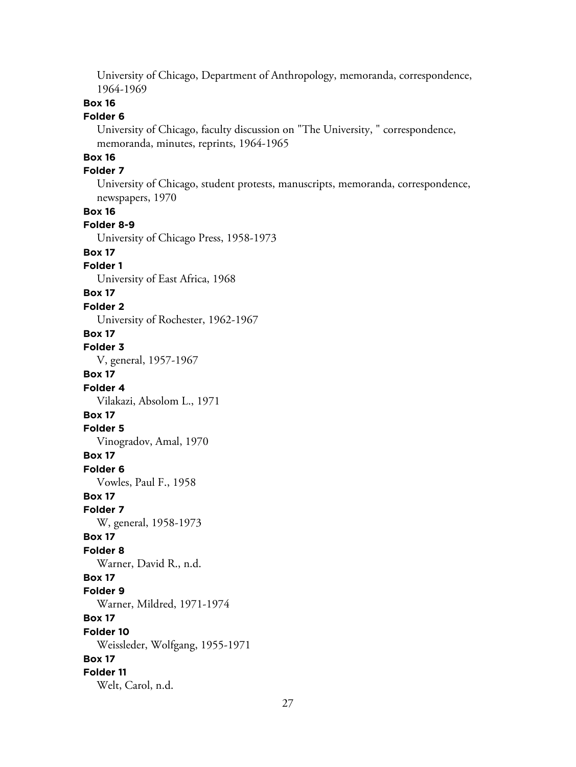University of Chicago, Department of Anthropology, memoranda, correspondence, 1964-1969

## **Box 16**

#### **Folder 6**

University of Chicago, faculty discussion on "The University, " correspondence, memoranda, minutes, reprints, 1964-1965

### **Box 16**

### **Folder 7**

University of Chicago, student protests, manuscripts, memoranda, correspondence, newspapers, 1970

## **Box 16**

## **Folder 8-9**

University of Chicago Press, 1958-1973

### **Box 17**

### **Folder 1**

University of East Africa, 1968

#### **Box 17**

#### **Folder 2**

University of Rochester, 1962-1967

#### **Box 17**

#### **Folder 3**

V, general, 1957-1967

#### **Box 17**

**Folder 4** Vilakazi, Absolom L., 1971

## **Box 17**

#### **Folder 5**

Vinogradov, Amal, 1970

#### **Box 17**

**Folder 6**

Vowles, Paul F., 1958

#### **Box 17**

**Folder 7**

W, general, 1958-1973

#### **Box 17**

#### **Folder 8**

Warner, David R., n.d.

#### **Box 17**

**Folder 9**

## Warner, Mildred, 1971-1974

## **Box 17**

## **Folder 10**

Weissleder, Wolfgang, 1955-1971

#### **Box 17 Folder 11**

Welt, Carol, n.d.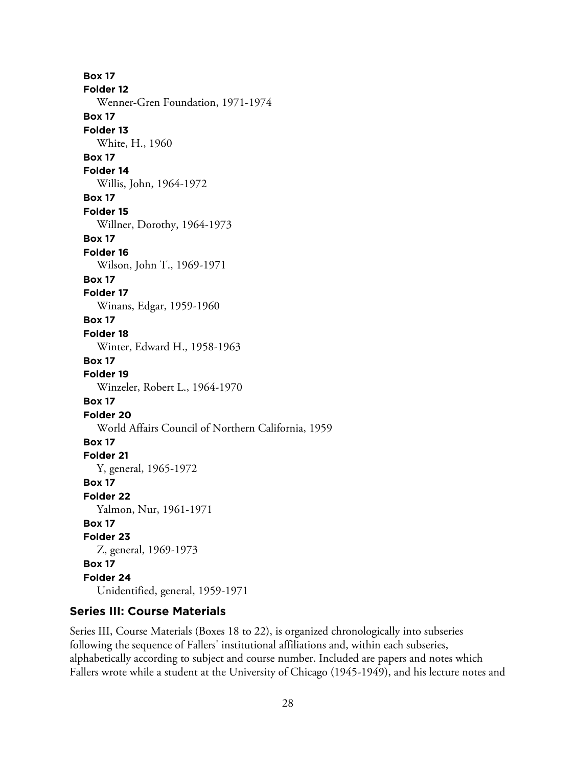**Box 17 Folder 12** Wenner-Gren Foundation, 1971-1974 **Box 17 Folder 13** White, H., 1960 **Box 17 Folder 14** Willis, John, 1964-1972 **Box 17 Folder 15** Willner, Dorothy, 1964-1973 **Box 17 Folder 16** Wilson, John T., 1969-1971 **Box 17 Folder 17** Winans, Edgar, 1959-1960 **Box 17 Folder 18** Winter, Edward H., 1958-1963 **Box 17 Folder 19** Winzeler, Robert L., 1964-1970 **Box 17 Folder 20** World Affairs Council of Northern California, 1959 **Box 17 Folder 21** Y, general, 1965-1972 **Box 17 Folder 22** Yalmon, Nur, 1961-1971 **Box 17 Folder 23** Z, general, 1969-1973 **Box 17 Folder 24** Unidentified, general, 1959-1971

## **Series III: Course Materials**

Series III, Course Materials (Boxes 18 to 22), is organized chronologically into subseries following the sequence of Fallers' institutional affiliations and, within each subseries, alphabetically according to subject and course number. Included are papers and notes which Fallers wrote while a student at the University of Chicago (1945-1949), and his lecture notes and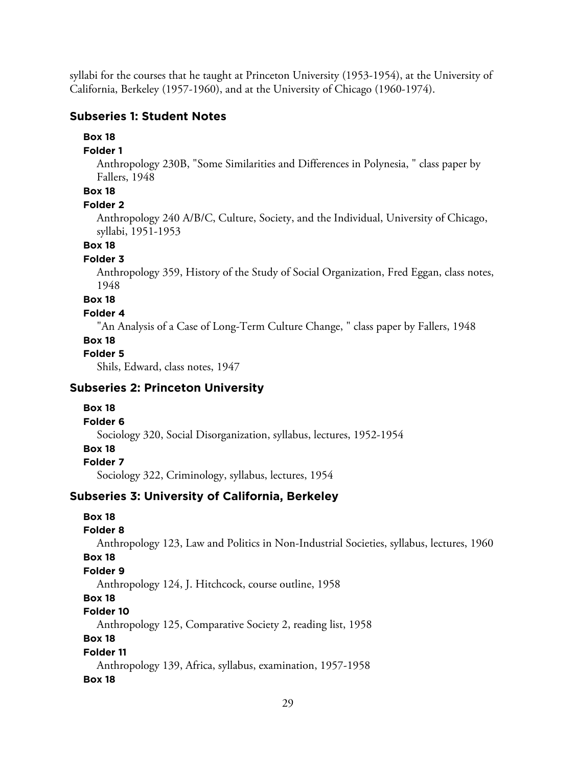syllabi for the courses that he taught at Princeton University (1953-1954), at the University of California, Berkeley (1957-1960), and at the University of Chicago (1960-1974).

### **Subseries 1: Student Notes**

### **Box 18**

### **Folder 1**

Anthropology 230B, "Some Similarities and Differences in Polynesia, " class paper by Fallers, 1948

## **Box 18**

#### **Folder 2**

Anthropology 240 A/B/C, Culture, Society, and the Individual, University of Chicago, syllabi, 1951-1953

### **Box 18**

#### **Folder 3**

Anthropology 359, History of the Study of Social Organization, Fred Eggan, class notes, 1948

#### **Box 18**

### **Folder 4**

"An Analysis of a Case of Long-Term Culture Change, " class paper by Fallers, 1948

#### **Box 18**

### **Folder 5**

Shils, Edward, class notes, 1947

## **Subseries 2: Princeton University**

#### **Box 18**

#### **Folder 6**

Sociology 320, Social Disorganization, syllabus, lectures, 1952-1954

- **Box 18**
- **Folder 7**

Sociology 322, Criminology, syllabus, lectures, 1954

## **Subseries 3: University of California, Berkeley**

## **Box 18**

## **Folder 8**

Anthropology 123, Law and Politics in Non-Industrial Societies, syllabus, lectures, 1960

#### **Box 18**

## **Folder 9**

Anthropology 124, J. Hitchcock, course outline, 1958

## **Box 18**

## **Folder 10**

Anthropology 125, Comparative Society 2, reading list, 1958

### **Box 18**

## **Folder 11**

Anthropology 139, Africa, syllabus, examination, 1957-1958 **Box 18**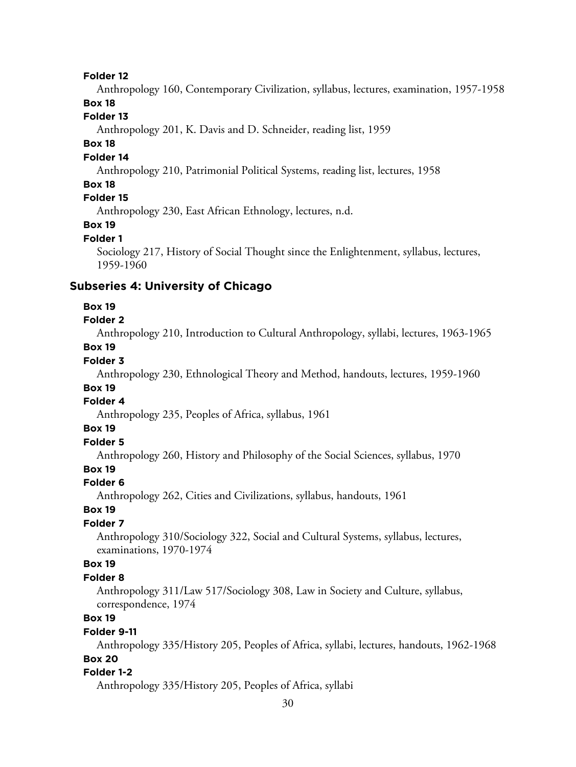#### **Folder 12**

Anthropology 160, Contemporary Civilization, syllabus, lectures, examination, 1957-1958

## **Box 18**

## **Folder 13**

Anthropology 201, K. Davis and D. Schneider, reading list, 1959

#### **Box 18**

### **Folder 14**

Anthropology 210, Patrimonial Political Systems, reading list, lectures, 1958

### **Box 18**

## **Folder 15**

Anthropology 230, East African Ethnology, lectures, n.d.

#### **Box 19**

#### **Folder 1**

Sociology 217, History of Social Thought since the Enlightenment, syllabus, lectures, 1959-1960

#### **Subseries 4: University of Chicago**

#### **Box 19**

**Folder 2**

Anthropology 210, Introduction to Cultural Anthropology, syllabi, lectures, 1963-1965

## **Box 19**

## **Folder 3**

Anthropology 230, Ethnological Theory and Method, handouts, lectures, 1959-1960

#### **Box 19**

## **Folder 4**

Anthropology 235, Peoples of Africa, syllabus, 1961

#### **Box 19**

## **Folder 5**

Anthropology 260, History and Philosophy of the Social Sciences, syllabus, 1970

## **Box 19**

#### **Folder 6**

Anthropology 262, Cities and Civilizations, syllabus, handouts, 1961

#### **Box 19**

#### **Folder 7**

Anthropology 310/Sociology 322, Social and Cultural Systems, syllabus, lectures, examinations, 1970-1974

#### **Box 19**

#### **Folder 8**

Anthropology 311/Law 517/Sociology 308, Law in Society and Culture, syllabus, correspondence, 1974

## **Box 19**

#### **Folder 9-11**

Anthropology 335/History 205, Peoples of Africa, syllabi, lectures, handouts, 1962-1968 **Box 20**

#### **Folder 1-2**

Anthropology 335/History 205, Peoples of Africa, syllabi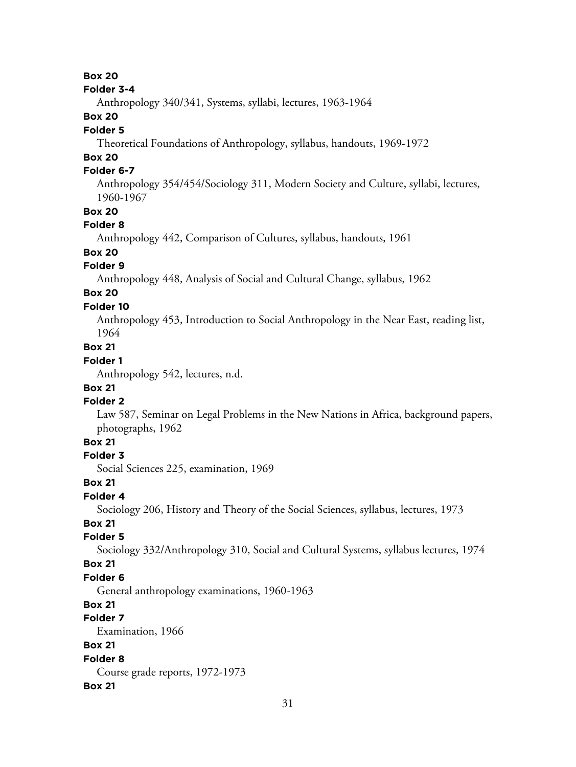### **Box 20**

#### **Folder 3-4**

Anthropology 340/341, Systems, syllabi, lectures, 1963-1964

## **Box 20**

#### **Folder 5**

Theoretical Foundations of Anthropology, syllabus, handouts, 1969-1972

## **Box 20**

## **Folder 6-7**

Anthropology 354/454/Sociology 311, Modern Society and Culture, syllabi, lectures, 1960-1967

#### **Box 20**

#### **Folder 8**

Anthropology 442, Comparison of Cultures, syllabus, handouts, 1961

#### **Box 20**

## **Folder 9**

Anthropology 448, Analysis of Social and Cultural Change, syllabus, 1962

## **Box 20**

## **Folder 10**

Anthropology 453, Introduction to Social Anthropology in the Near East, reading list, 1964

## **Box 21**

## **Folder 1**

Anthropology 542, lectures, n.d.

### **Box 21**

#### **Folder 2**

Law 587, Seminar on Legal Problems in the New Nations in Africa, background papers, photographs, 1962

## **Box 21**

### **Folder 3**

Social Sciences 225, examination, 1969

#### **Box 21**

#### **Folder 4**

Sociology 206, History and Theory of the Social Sciences, syllabus, lectures, 1973

### **Box 21**

#### **Folder 5**

Sociology 332/Anthropology 310, Social and Cultural Systems, syllabus lectures, 1974

### **Box 21**

#### **Folder 6**

General anthropology examinations, 1960-1963

#### **Box 21**

## **Folder 7**

Examination, 1966

## **Box 21**

#### **Folder 8**

Course grade reports, 1972-1973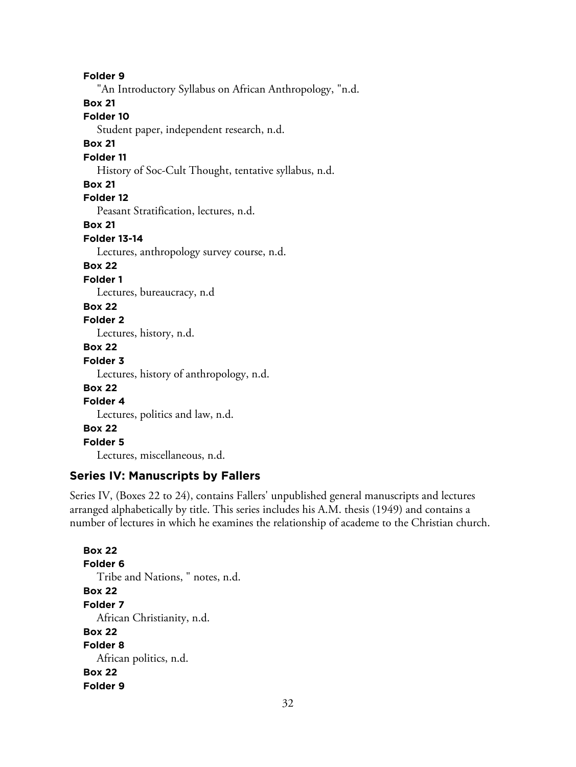**Folder 9** "An Introductory Syllabus on African Anthropology, "n.d. **Box 21 Folder 10** Student paper, independent research, n.d. **Box 21 Folder 11** History of Soc-Cult Thought, tentative syllabus, n.d. **Box 21 Folder 12** Peasant Stratification, lectures, n.d. **Box 21 Folder 13-14** Lectures, anthropology survey course, n.d. **Box 22 Folder 1** Lectures, bureaucracy, n.d **Box 22 Folder 2** Lectures, history, n.d. **Box 22 Folder 3** Lectures, history of anthropology, n.d. **Box 22 Folder 4** Lectures, politics and law, n.d. **Box 22 Folder 5** Lectures, miscellaneous, n.d.

#### **Series IV: Manuscripts by Fallers**

Series IV, (Boxes 22 to 24), contains Fallers' unpublished general manuscripts and lectures arranged alphabetically by title. This series includes his A.M. thesis (1949) and contains a number of lectures in which he examines the relationship of academe to the Christian church.

**Box 22 Folder 6** Tribe and Nations, " notes, n.d. **Box 22 Folder 7** African Christianity, n.d. **Box 22 Folder 8** African politics, n.d. **Box 22 Folder 9**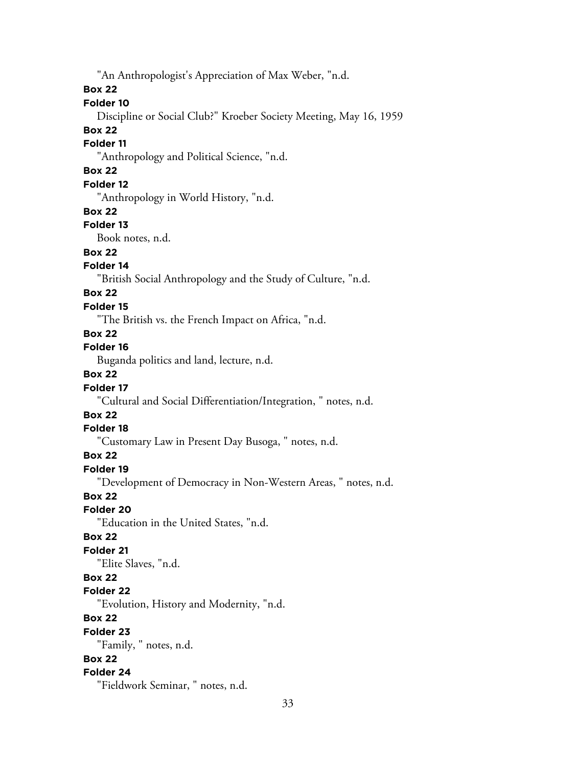"An Anthropologist's Appreciation of Max Weber, "n.d.

#### **Box 22**

## **Folder 10**

Discipline or Social Club?" Kroeber Society Meeting, May 16, 1959

#### **Box 22**

#### **Folder 11**

"Anthropology and Political Science, "n.d.

## **Box 22**

## **Folder 12**

"Anthropology in World History, "n.d.

#### **Box 22**

#### **Folder 13**

Book notes, n.d.

## **Box 22**

## **Folder 14**

"British Social Anthropology and the Study of Culture, "n.d.

### **Box 22**

#### **Folder 15**

"The British vs. the French Impact on Africa, "n.d.

## **Box 22**

## **Folder 16**

Buganda politics and land, lecture, n.d.

## **Box 22**

#### **Folder 17**

"Cultural and Social Differentiation/Integration, " notes, n.d.

## **Box 22**

## **Folder 18**

"Customary Law in Present Day Busoga, " notes, n.d.

#### **Box 22**

#### **Folder 19**

"Development of Democracy in Non-Western Areas, " notes, n.d.

## **Box 22**

#### **Folder 20**

"Education in the United States, "n.d.

### **Box 22**

## **Folder 21**

"Elite Slaves, "n.d.

## **Box 22**

#### **Folder 22**

"Evolution, History and Modernity, "n.d.

## **Box 22**

#### **Folder 23**

"Family, " notes, n.d.

## **Box 22**

### **Folder 24**

"Fieldwork Seminar, " notes, n.d.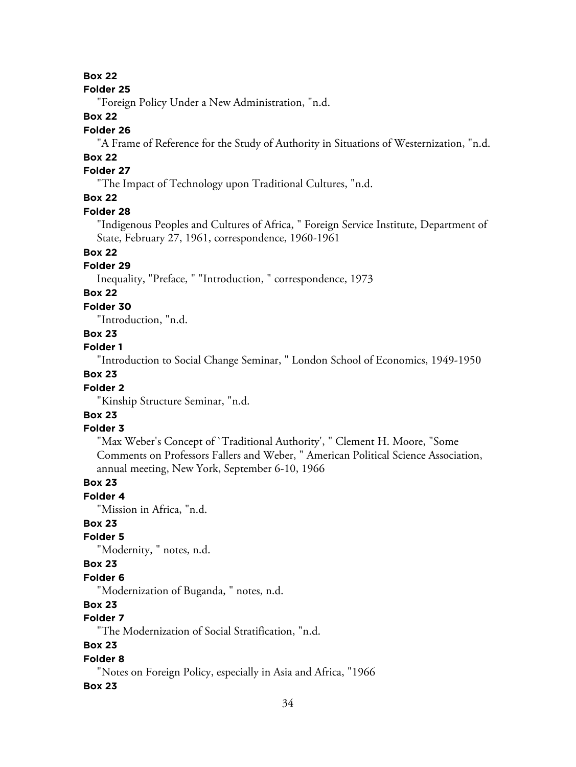## **Box 22**

#### **Folder 25**

"Foreign Policy Under a New Administration, "n.d.

## **Box 22**

#### **Folder 26**

"A Frame of Reference for the Study of Authority in Situations of Westernization, "n.d.

## **Box 22**

## **Folder 27**

"The Impact of Technology upon Traditional Cultures, "n.d.

## **Box 22**

#### **Folder 28**

"Indigenous Peoples and Cultures of Africa, " Foreign Service Institute, Department of State, February 27, 1961, correspondence, 1960-1961

## **Box 22**

## **Folder 29**

Inequality, "Preface, " "Introduction, " correspondence, 1973

## **Box 22**

### **Folder 30**

"Introduction, "n.d.

## **Box 23**

## **Folder 1**

"Introduction to Social Change Seminar, " London School of Economics, 1949-1950

## **Box 23**

### **Folder 2**

"Kinship Structure Seminar, "n.d.

## **Box 23**

## **Folder 3**

"Max Weber's Concept of `Traditional Authority', " Clement H. Moore, "Some Comments on Professors Fallers and Weber, " American Political Science Association, annual meeting, New York, September 6-10, 1966

### **Box 23**

**Folder 4**

"Mission in Africa, "n.d.

#### **Box 23**

## **Folder 5**

"Modernity, " notes, n.d.

#### **Box 23**

#### **Folder 6**

"Modernization of Buganda, " notes, n.d.

### **Box 23**

## **Folder 7**

"The Modernization of Social Stratification, "n.d.

## **Box 23**

#### **Folder 8**

"Notes on Foreign Policy, especially in Asia and Africa, "1966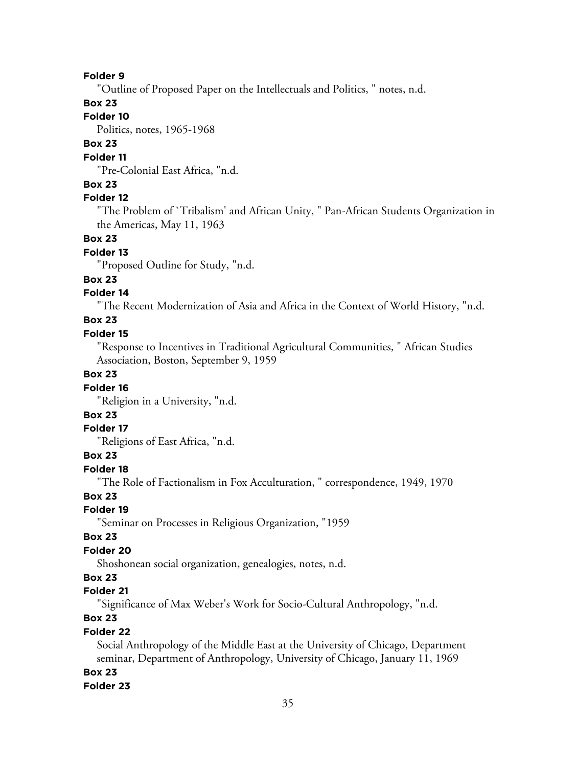#### **Folder 9**

"Outline of Proposed Paper on the Intellectuals and Politics, " notes, n.d.

## **Box 23**

## **Folder 10**

Politics, notes, 1965-1968

## **Box 23**

#### **Folder 11**

"Pre-Colonial East Africa, "n.d.

### **Box 23**

## **Folder 12**

"The Problem of `Tribalism' and African Unity, " Pan-African Students Organization in the Americas, May 11, 1963

## **Box 23**

#### **Folder 13**

"Proposed Outline for Study, "n.d.

#### **Box 23**

#### **Folder 14**

"The Recent Modernization of Asia and Africa in the Context of World History, "n.d.

#### **Box 23**

#### **Folder 15**

"Response to Incentives in Traditional Agricultural Communities, " African Studies Association, Boston, September 9, 1959

## **Box 23**

#### **Folder 16**

"Religion in a University, "n.d.

## **Box 23**

#### **Folder 17**

"Religions of East Africa, "n.d.

#### **Box 23**

## **Folder 18**

"The Role of Factionalism in Fox Acculturation, " correspondence, 1949, 1970

#### **Box 23**

#### **Folder 19**

"Seminar on Processes in Religious Organization, "1959

## **Box 23**

#### **Folder 20**

Shoshonean social organization, genealogies, notes, n.d.

## **Box 23**

### **Folder 21**

"Significance of Max Weber's Work for Socio-Cultural Anthropology, "n.d.

## **Box 23**

#### **Folder 22**

Social Anthropology of the Middle East at the University of Chicago, Department seminar, Department of Anthropology, University of Chicago, January 11, 1969

#### **Box 23**

#### **Folder 23**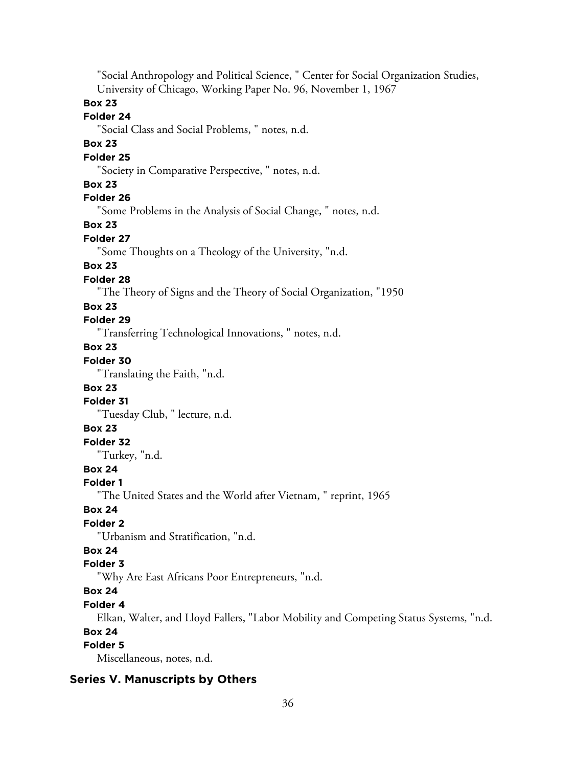"Social Anthropology and Political Science, " Center for Social Organization Studies, University of Chicago, Working Paper No. 96, November 1, 1967

### **Box 23**

#### **Folder 24**

"Social Class and Social Problems, " notes, n.d.

#### **Box 23**

#### **Folder 25**

"Society in Comparative Perspective, " notes, n.d.

#### **Box 23**

## **Folder 26**

"Some Problems in the Analysis of Social Change, " notes, n.d.

### **Box 23**

#### **Folder 27**

"Some Thoughts on a Theology of the University, "n.d.

## **Box 23**

#### **Folder 28**

"The Theory of Signs and the Theory of Social Organization, "1950

#### **Box 23**

## **Folder 29**

"Transferring Technological Innovations, " notes, n.d.

## **Box 23**

## **Folder 30**

"Translating the Faith, "n.d.

#### **Box 23**

#### **Folder 31**

"Tuesday Club, " lecture, n.d.

### **Box 23**

## **Folder 32**

"Turkey, "n.d.

## **Box 24**

#### **Folder 1**

"The United States and the World after Vietnam, " reprint, 1965

## **Box 24**

## **Folder 2**

"Urbanism and Stratification, "n.d.

## **Box 24**

## **Folder 3**

"Why Are East Africans Poor Entrepreneurs, "n.d.

## **Box 24**

### **Folder 4**

Elkan, Walter, and Lloyd Fallers, "Labor Mobility and Competing Status Systems, "n.d.

#### **Box 24**

## **Folder 5**

Miscellaneous, notes, n.d.

## **Series V. Manuscripts by Others**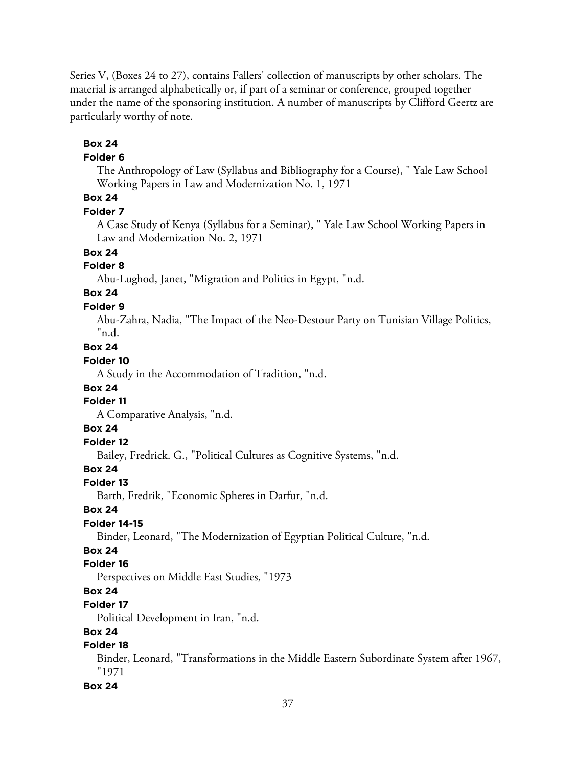Series V, (Boxes 24 to 27), contains Fallers' collection of manuscripts by other scholars. The material is arranged alphabetically or, if part of a seminar or conference, grouped together under the name of the sponsoring institution. A number of manuscripts by Clifford Geertz are particularly worthy of note.

## **Box 24**

#### **Folder 6**

The Anthropology of Law (Syllabus and Bibliography for a Course), " Yale Law School Working Papers in Law and Modernization No. 1, 1971

## **Box 24**

#### **Folder 7**

A Case Study of Kenya (Syllabus for a Seminar), " Yale Law School Working Papers in Law and Modernization No. 2, 1971

**Box 24**

#### **Folder 8**

Abu-Lughod, Janet, "Migration and Politics in Egypt, "n.d.

## **Box 24**

**Folder 9**

Abu-Zahra, Nadia, "The Impact of the Neo-Destour Party on Tunisian Village Politics, "n.d.

#### **Box 24**

### **Folder 10**

A Study in the Accommodation of Tradition, "n.d.

#### **Box 24**

#### **Folder 11**

A Comparative Analysis, "n.d.

## **Box 24**

## **Folder 12**

Bailey, Fredrick. G., "Political Cultures as Cognitive Systems, "n.d.

## **Box 24**

#### **Folder 13**

Barth, Fredrik, "Economic Spheres in Darfur, "n.d.

#### **Box 24**

#### **Folder 14-15**

Binder, Leonard, "The Modernization of Egyptian Political Culture, "n.d.

## **Box 24**

#### **Folder 16**

Perspectives on Middle East Studies, "1973

## **Box 24**

#### **Folder 17**

Political Development in Iran, "n.d.

### **Box 24**

### **Folder 18**

Binder, Leonard, "Transformations in the Middle Eastern Subordinate System after 1967, "1971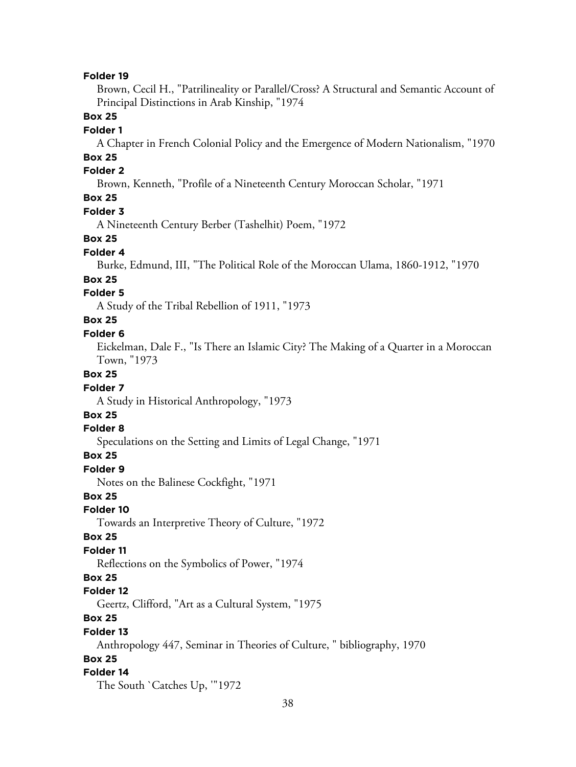#### **Folder 19**

Brown, Cecil H., "Patrilineality or Parallel/Cross? A Structural and Semantic Account of Principal Distinctions in Arab Kinship, "1974

#### **Box 25**

#### **Folder 1**

A Chapter in French Colonial Policy and the Emergence of Modern Nationalism, "1970

## **Box 25**

#### **Folder 2**

Brown, Kenneth, "Profile of a Nineteenth Century Moroccan Scholar, "1971

## **Box 25**

#### **Folder 3**

A Nineteenth Century Berber (Tashelhit) Poem, "1972

#### **Box 25**

#### **Folder 4**

Burke, Edmund, III, "The Political Role of the Moroccan Ulama, 1860-1912, "1970

#### **Box 25**

#### **Folder 5**

A Study of the Tribal Rebellion of 1911, "1973

## **Box 25**

#### **Folder 6**

Eickelman, Dale F., "Is There an Islamic City? The Making of a Quarter in a Moroccan Town, "1973

#### **Box 25**

#### **Folder 7**

A Study in Historical Anthropology, "1973

## **Box 25**

#### **Folder 8**

Speculations on the Setting and Limits of Legal Change, "1971

#### **Box 25**

#### **Folder 9**

Notes on the Balinese Cockfight, "1971

#### **Box 25**

#### **Folder 10**

Towards an Interpretive Theory of Culture, "1972

#### **Box 25**

#### **Folder 11**

Reflections on the Symbolics of Power, "1974

#### **Box 25**

#### **Folder 12**

Geertz, Clifford, "Art as a Cultural System, "1975

## **Box 25**

#### **Folder 13**

Anthropology 447, Seminar in Theories of Culture, " bibliography, 1970

### **Box 25**

#### **Folder 14**

The South `Catches Up, '"1972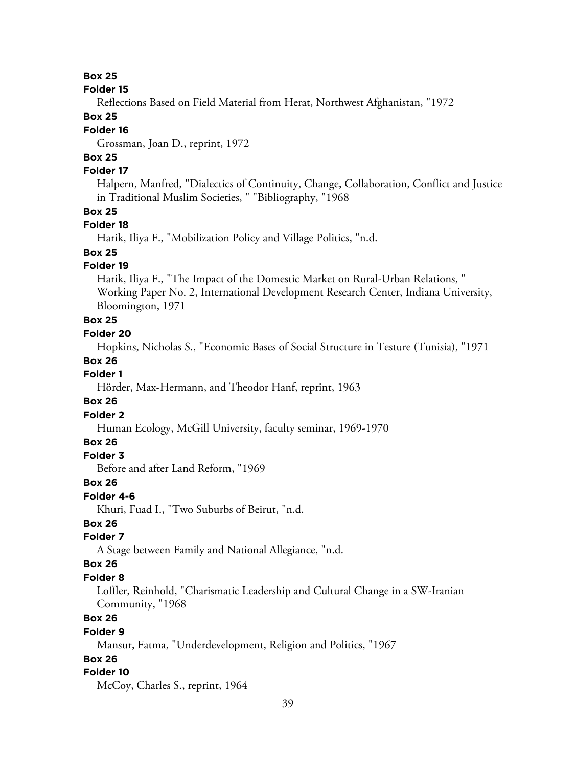#### **Box 25**

#### **Folder 15**

Reflections Based on Field Material from Herat, Northwest Afghanistan, "1972

#### **Box 25**

#### **Folder 16**

Grossman, Joan D., reprint, 1972

## **Box 25**

## **Folder 17**

Halpern, Manfred, "Dialectics of Continuity, Change, Collaboration, Conflict and Justice in Traditional Muslim Societies, " "Bibliography, "1968

#### **Box 25**

#### **Folder 18**

Harik, Iliya F., "Mobilization Policy and Village Politics, "n.d.

## **Box 25**

#### **Folder 19**

Harik, Iliya F., "The Impact of the Domestic Market on Rural-Urban Relations, " Working Paper No. 2, International Development Research Center, Indiana University, Bloomington, 1971

## **Box 25**

## **Folder 20**

Hopkins, Nicholas S., "Economic Bases of Social Structure in Testure (Tunisia), "1971

#### **Box 26**

#### **Folder 1**

Hörder, Max-Hermann, and Theodor Hanf, reprint, 1963

#### **Box 26**

## **Folder 2**

Human Ecology, McGill University, faculty seminar, 1969-1970

## **Box 26**

## **Folder 3**

Before and after Land Reform, "1969

#### **Box 26**

#### **Folder 4-6**

Khuri, Fuad I., "Two Suburbs of Beirut, "n.d.

## **Box 26**

## **Folder 7**

A Stage between Family and National Allegiance, "n.d.

### **Box 26**

#### **Folder 8**

Loffler, Reinhold, "Charismatic Leadership and Cultural Change in a SW-Iranian Community, "1968

## **Box 26**

#### **Folder 9**

Mansur, Fatma, "Underdevelopment, Religion and Politics, "1967

### **Box 26**

#### **Folder 10**

McCoy, Charles S., reprint, 1964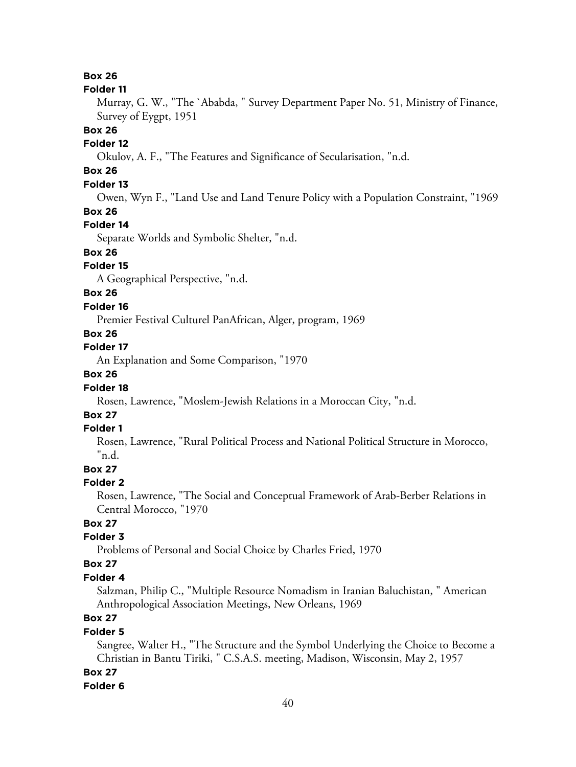#### **Box 26**

#### **Folder 11**

Murray, G. W., "The `Ababda, " Survey Department Paper No. 51, Ministry of Finance, Survey of Eygpt, 1951

#### **Box 26**

#### **Folder 12**

Okulov, A. F., "The Features and Significance of Secularisation, "n.d.

## **Box 26**

## **Folder 13**

Owen, Wyn F., "Land Use and Land Tenure Policy with a Population Constraint, "1969

### **Box 26**

#### **Folder 14**

Separate Worlds and Symbolic Shelter, "n.d.

## **Box 26**

## **Folder 15**

A Geographical Perspective, "n.d.

### **Box 26**

#### **Folder 16**

Premier Festival Culturel PanAfrican, Alger, program, 1969

## **Box 26**

## **Folder 17**

An Explanation and Some Comparison, "1970

#### **Box 26**

#### **Folder 18**

Rosen, Lawrence, "Moslem-Jewish Relations in a Moroccan City, "n.d.

## **Box 27**

#### **Folder 1**

Rosen, Lawrence, "Rural Political Process and National Political Structure in Morocco, "n.d.

### **Box 27**

#### **Folder 2**

Rosen, Lawrence, "The Social and Conceptual Framework of Arab-Berber Relations in Central Morocco, "1970

## **Box 27**

## **Folder 3**

Problems of Personal and Social Choice by Charles Fried, 1970

#### **Box 27**

#### **Folder 4**

Salzman, Philip C., "Multiple Resource Nomadism in Iranian Baluchistan, " American Anthropological Association Meetings, New Orleans, 1969

## **Box 27**

#### **Folder 5**

Sangree, Walter H., "The Structure and the Symbol Underlying the Choice to Become a Christian in Bantu Tiriki, " C.S.A.S. meeting, Madison, Wisconsin, May 2, 1957

## **Box 27**

#### **Folder 6**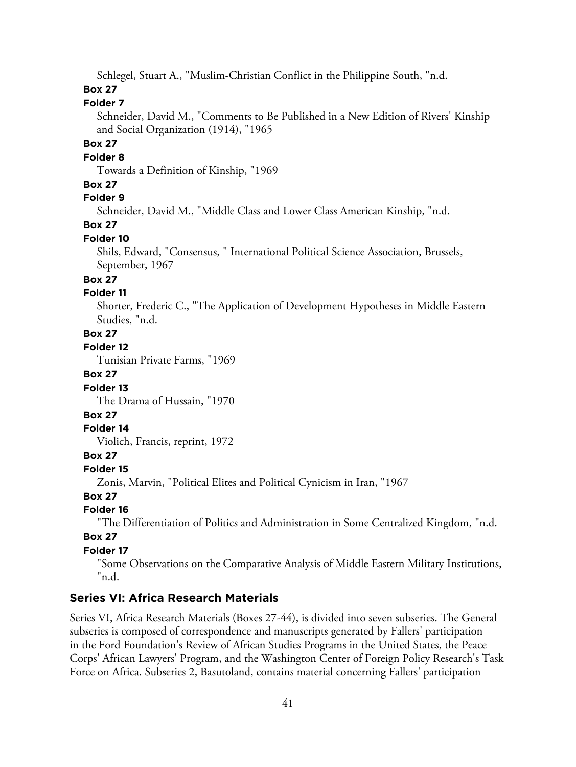Schlegel, Stuart A., "Muslim-Christian Conflict in the Philippine South, "n.d.

### **Box 27**

## **Folder 7**

Schneider, David M., "Comments to Be Published in a New Edition of Rivers' Kinship and Social Organization (1914), "1965

#### **Box 27**

#### **Folder 8**

Towards a Definition of Kinship, "1969

#### **Box 27**

## **Folder 9**

Schneider, David M., "Middle Class and Lower Class American Kinship, "n.d.

## **Box 27**

#### **Folder 10**

Shils, Edward, "Consensus, " International Political Science Association, Brussels, September, 1967

### **Box 27**

#### **Folder 11**

Shorter, Frederic C., "The Application of Development Hypotheses in Middle Eastern Studies, "n.d.

## **Box 27**

**Folder 12**

Tunisian Private Farms, "1969

#### **Box 27**

#### **Folder 13**

The Drama of Hussain, "1970

## **Box 27**

#### **Folder 14**

Violich, Francis, reprint, 1972

#### **Box 27**

**Folder 15**

Zonis, Marvin, "Political Elites and Political Cynicism in Iran, "1967

## **Box 27**

## **Folder 16**

"The Differentiation of Politics and Administration in Some Centralized Kingdom, "n.d.

## **Box 27**

#### **Folder 17**

"Some Observations on the Comparative Analysis of Middle Eastern Military Institutions, "n.d.

## **Series VI: Africa Research Materials**

Series VI, Africa Research Materials (Boxes 27-44), is divided into seven subseries. The General subseries is composed of correspondence and manuscripts generated by Fallers' participation in the Ford Foundation's Review of African Studies Programs in the United States, the Peace Corps' African Lawyers' Program, and the Washington Center of Foreign Policy Research's Task Force on Africa. Subseries 2, Basutoland, contains material concerning Fallers' participation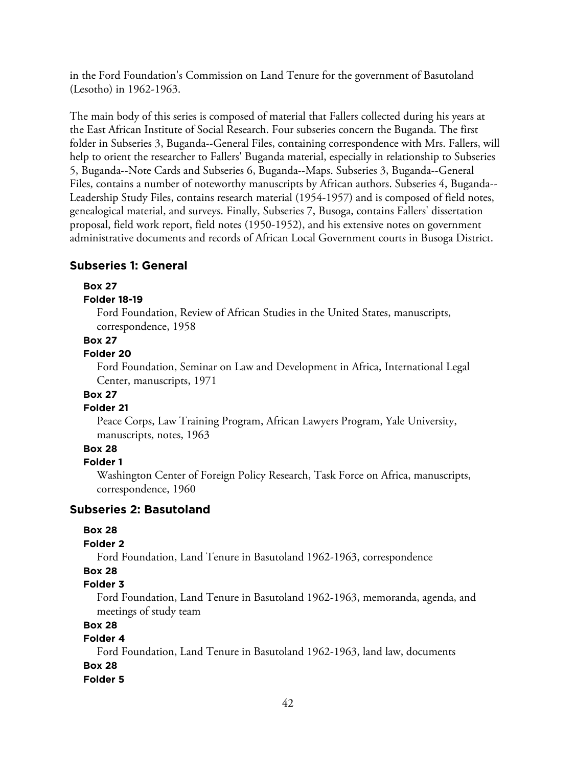in the Ford Foundation's Commission on Land Tenure for the government of Basutoland (Lesotho) in 1962-1963.

The main body of this series is composed of material that Fallers collected during his years at the East African Institute of Social Research. Four subseries concern the Buganda. The first folder in Subseries 3, Buganda--General Files, containing correspondence with Mrs. Fallers, will help to orient the researcher to Fallers' Buganda material, especially in relationship to Subseries 5, Buganda--Note Cards and Subseries 6, Buganda--Maps. Subseries 3, Buganda--General Files, contains a number of noteworthy manuscripts by African authors. Subseries 4, Buganda-- Leadership Study Files, contains research material (1954-1957) and is composed of field notes, genealogical material, and surveys. Finally, Subseries 7, Busoga, contains Fallers' dissertation proposal, field work report, field notes (1950-1952), and his extensive notes on government administrative documents and records of African Local Government courts in Busoga District.

#### **Subseries 1: General**

#### **Box 27**

#### **Folder 18-19**

Ford Foundation, Review of African Studies in the United States, manuscripts, correspondence, 1958

#### **Box 27**

#### **Folder 20**

Ford Foundation, Seminar on Law and Development in Africa, International Legal Center, manuscripts, 1971

## **Box 27**

#### **Folder 21**

Peace Corps, Law Training Program, African Lawyers Program, Yale University, manuscripts, notes, 1963

## **Box 28**

#### **Folder 1**

Washington Center of Foreign Policy Research, Task Force on Africa, manuscripts, correspondence, 1960

#### **Subseries 2: Basutoland**

#### **Box 28**

#### **Folder 2**

Ford Foundation, Land Tenure in Basutoland 1962-1963, correspondence

#### **Box 28**

#### **Folder 3**

Ford Foundation, Land Tenure in Basutoland 1962-1963, memoranda, agenda, and meetings of study team

#### **Box 28**

#### **Folder 4**

Ford Foundation, Land Tenure in Basutoland 1962-1963, land law, documents

## **Box 28**

## **Folder 5**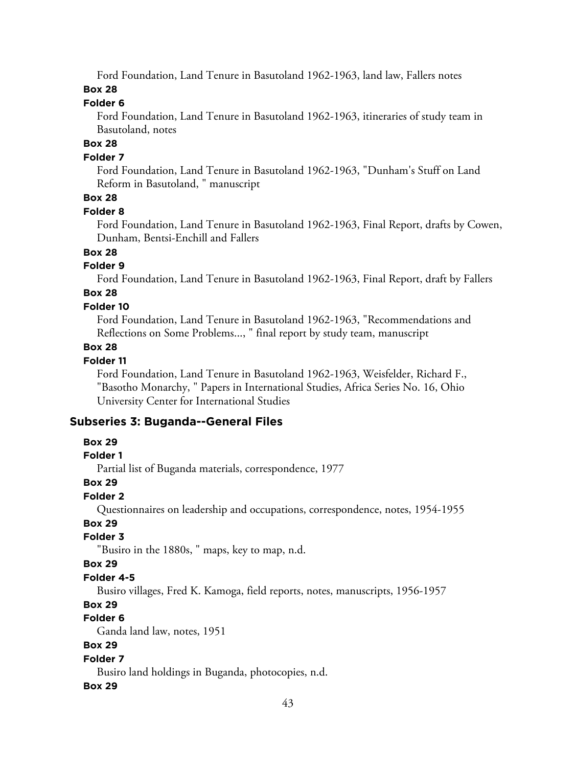Ford Foundation, Land Tenure in Basutoland 1962-1963, land law, Fallers notes

### **Box 28**

## **Folder 6**

Ford Foundation, Land Tenure in Basutoland 1962-1963, itineraries of study team in Basutoland, notes

## **Box 28**

### **Folder 7**

Ford Foundation, Land Tenure in Basutoland 1962-1963, "Dunham's Stuff on Land Reform in Basutoland, " manuscript

## **Box 28**

#### **Folder 8**

Ford Foundation, Land Tenure in Basutoland 1962-1963, Final Report, drafts by Cowen, Dunham, Bentsi-Enchill and Fallers

## **Box 28**

## **Folder 9**

Ford Foundation, Land Tenure in Basutoland 1962-1963, Final Report, draft by Fallers

## **Box 28**

### **Folder 10**

Ford Foundation, Land Tenure in Basutoland 1962-1963, "Recommendations and Reflections on Some Problems..., " final report by study team, manuscript

## **Box 28**

## **Folder 11**

Ford Foundation, Land Tenure in Basutoland 1962-1963, Weisfelder, Richard F., "Basotho Monarchy, " Papers in International Studies, Africa Series No. 16, Ohio University Center for International Studies

## **Subseries 3: Buganda--General Files**

## **Box 29**

#### **Folder 1**

Partial list of Buganda materials, correspondence, 1977

#### **Box 29**

## **Folder 2**

Questionnaires on leadership and occupations, correspondence, notes, 1954-1955

## **Box 29**

## **Folder 3**

"Busiro in the 1880s, " maps, key to map, n.d.

#### **Box 29**

## **Folder 4-5**

Busiro villages, Fred K. Kamoga, field reports, notes, manuscripts, 1956-1957

## **Box 29**

## **Folder 6**

Ganda land law, notes, 1951

## **Box 29**

## **Folder 7**

Busiro land holdings in Buganda, photocopies, n.d.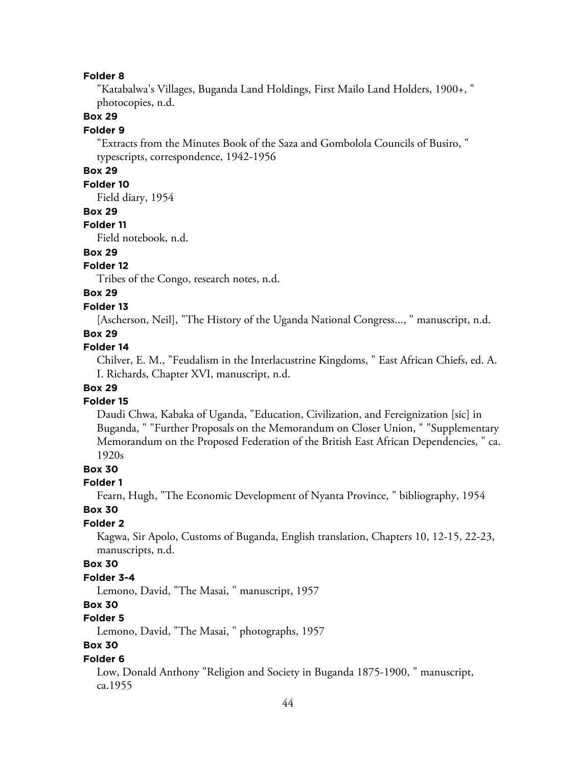#### **Folder 8**

"Katabalwa's Villages, Buganda Land Holdings, First Mailo Land Holders, 1900+, " photocopies, n.d.

### **Box 29**

#### **Folder 9**

"Extracts from the Minutes Book of the Saza and Gombolola Councils of Busiro, " typescripts, correspondence, 1942-1956

## **Box 29**

#### **Folder 10**

Field diary, 1954

#### **Box 29**

#### **Folder 11**

Field notebook, n.d.

## **Box 29**

### **Folder 12**

Tribes of the Congo, research notes, n.d.

## **Box 29**

#### **Folder 13**

[Ascherson, Neil], "The History of the Uganda National Congress..., " manuscript, n.d.

#### **Box 29**

#### **Folder 14**

Chilver, E. M., "Feudalism in the Interlacustrine Kingdoms, " East African Chiefs, ed. A. I. Richards, Chapter XVI, manuscript, n.d.

### **Box 29**

#### **Folder 15**

Daudi Chwa, Kabaka of Uganda, "Education, Civilization, and Fereignization [sic] in Buganda, " "Further Proposals on the Memorandum on Closer Union, " "Supplementary Memorandum on the Proposed Federation of the British East African Dependencies, " ca. 1920s

#### **Box 30**

#### **Folder 1**

Fearn, Hugh, "The Economic Development of Nyanta Province, " bibliography, 1954

#### **Box 30**

#### **Folder 2**

Kagwa, Sir Apolo, Customs of Buganda, English translation, Chapters 10, 12-15, 22-23, manuscripts, n.d.

#### **Box 30**

#### **Folder 3-4**

Lemono, David, "The Masai, " manuscript, 1957

### **Box 30**

## **Folder 5**

Lemono, David, "The Masai, " photographs, 1957

## **Box 30**

#### **Folder 6**

Low, Donald Anthony "Religion and Society in Buganda 1875-1900, " manuscript, ca.1955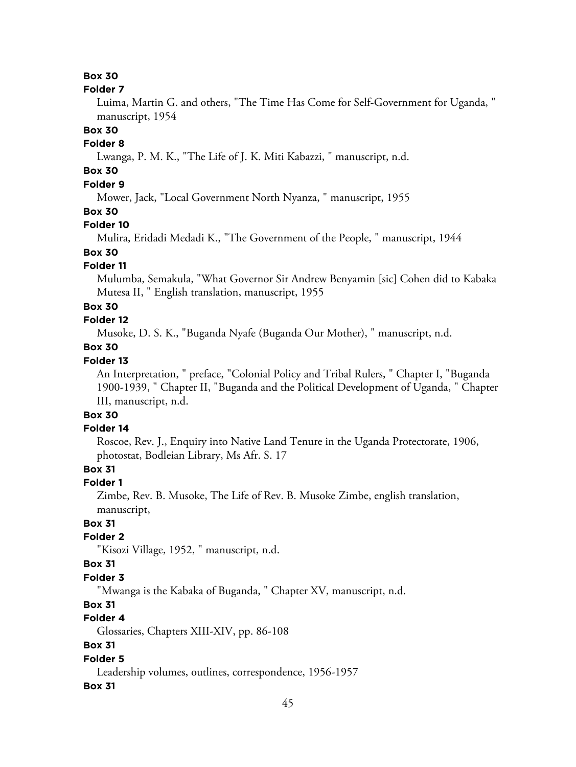#### **Box 30**

#### **Folder 7**

Luima, Martin G. and others, "The Time Has Come for Self-Government for Uganda, " manuscript, 1954

#### **Box 30**

#### **Folder 8**

Lwanga, P. M. K., "The Life of J. K. Miti Kabazzi, " manuscript, n.d.

## **Box 30**

## **Folder 9**

Mower, Jack, "Local Government North Nyanza, " manuscript, 1955

## **Box 30**

#### **Folder 10**

Mulira, Eridadi Medadi K., "The Government of the People, " manuscript, 1944

## **Box 30**

### **Folder 11**

Mulumba, Semakula, "What Governor Sir Andrew Benyamin [sic] Cohen did to Kabaka Mutesa II, " English translation, manuscript, 1955

#### **Box 30**

### **Folder 12**

Musoke, D. S. K., "Buganda Nyafe (Buganda Our Mother), " manuscript, n.d.

#### **Box 30**

#### **Folder 13**

An Interpretation, " preface, "Colonial Policy and Tribal Rulers, " Chapter I, "Buganda 1900-1939, " Chapter II, "Buganda and the Political Development of Uganda, " Chapter III, manuscript, n.d.

## **Box 30**

## **Folder 14**

Roscoe, Rev. J., Enquiry into Native Land Tenure in the Uganda Protectorate, 1906, photostat, Bodleian Library, Ms Afr. S. 17

#### **Box 31**

#### **Folder 1**

Zimbe, Rev. B. Musoke, The Life of Rev. B. Musoke Zimbe, english translation, manuscript,

## **Box 31**

### **Folder 2**

"Kisozi Village, 1952, " manuscript, n.d.

#### **Box 31**

#### **Folder 3**

"Mwanga is the Kabaka of Buganda, " Chapter XV, manuscript, n.d.

## **Box 31**

## **Folder 4**

Glossaries, Chapters XIII-XIV, pp. 86-108

## **Box 31**

#### **Folder 5**

Leadership volumes, outlines, correspondence, 1956-1957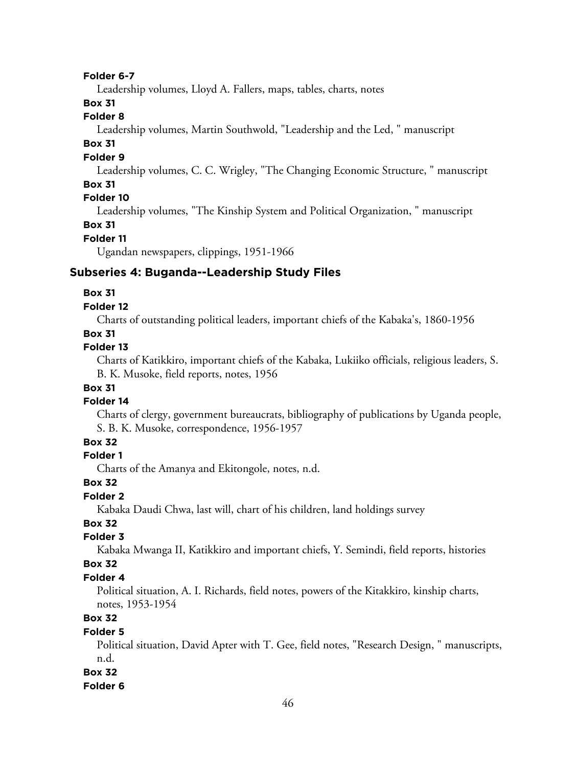#### **Folder 6-7**

Leadership volumes, Lloyd A. Fallers, maps, tables, charts, notes

### **Box 31**

### **Folder 8**

Leadership volumes, Martin Southwold, "Leadership and the Led, " manuscript

#### **Box 31**

#### **Folder 9**

Leadership volumes, C. C. Wrigley, "The Changing Economic Structure, " manuscript

### **Box 31**

## **Folder 10**

Leadership volumes, "The Kinship System and Political Organization, " manuscript

### **Box 31**

### **Folder 11**

Ugandan newspapers, clippings, 1951-1966

#### **Subseries 4: Buganda--Leadership Study Files**

#### **Box 31**

#### **Folder 12**

Charts of outstanding political leaders, important chiefs of the Kabaka's, 1860-1956

#### **Box 31**

#### **Folder 13**

Charts of Katikkiro, important chiefs of the Kabaka, Lukiiko officials, religious leaders, S. B. K. Musoke, field reports, notes, 1956

#### **Box 31**

#### **Folder 14**

Charts of clergy, government bureaucrats, bibliography of publications by Uganda people, S. B. K. Musoke, correspondence, 1956-1957

#### **Box 32**

#### **Folder 1**

Charts of the Amanya and Ekitongole, notes, n.d.

#### **Box 32**

## **Folder 2**

Kabaka Daudi Chwa, last will, chart of his children, land holdings survey

## **Box 32**

### **Folder 3**

Kabaka Mwanga II, Katikkiro and important chiefs, Y. Semindi, field reports, histories

#### **Box 32**

#### **Folder 4**

Political situation, A. I. Richards, field notes, powers of the Kitakkiro, kinship charts, notes, 1953-1954

## **Box 32**

#### **Folder 5**

Political situation, David Apter with T. Gee, field notes, "Research Design, " manuscripts, n.d.

### **Box 32**

#### **Folder 6**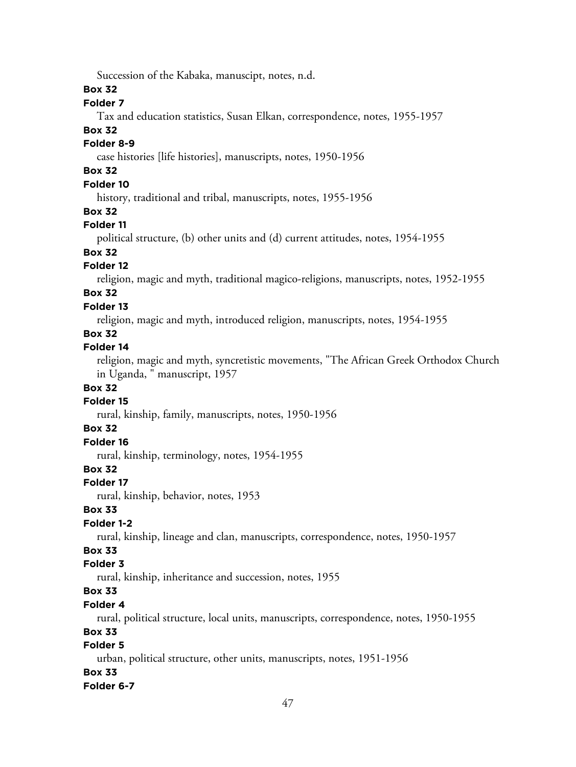Succession of the Kabaka, manuscipt, notes, n.d.

#### **Box 32**

## **Folder 7**

Tax and education statistics, Susan Elkan, correspondence, notes, 1955-1957

#### **Box 32**

#### **Folder 8-9**

case histories [life histories], manuscripts, notes, 1950-1956

## **Box 32**

## **Folder 10**

history, traditional and tribal, manuscripts, notes, 1955-1956

## **Box 32**

#### **Folder 11**

political structure, (b) other units and (d) current attitudes, notes, 1954-1955

## **Box 32**

#### **Folder 12**

religion, magic and myth, traditional magico-religions, manuscripts, notes, 1952-1955

## **Box 32**

#### **Folder 13**

religion, magic and myth, introduced religion, manuscripts, notes, 1954-1955

### **Box 32**

### **Folder 14**

religion, magic and myth, syncretistic movements, "The African Greek Orthodox Church in Uganda, " manuscript, 1957

#### **Box 32**

#### **Folder 15**

rural, kinship, family, manuscripts, notes, 1950-1956

## **Box 32**

## **Folder 16**

rural, kinship, terminology, notes, 1954-1955

## **Box 32**

#### **Folder 17**

rural, kinship, behavior, notes, 1953

#### **Box 33**

## **Folder 1-2**

rural, kinship, lineage and clan, manuscripts, correspondence, notes, 1950-1957

## **Box 33**

## **Folder 3**

rural, kinship, inheritance and succession, notes, 1955

## **Box 33**

### **Folder 4**

rural, political structure, local units, manuscripts, correspondence, notes, 1950-1955

### **Box 33**

## **Folder 5**

urban, political structure, other units, manuscripts, notes, 1951-1956

#### **Box 33**

#### **Folder 6-7**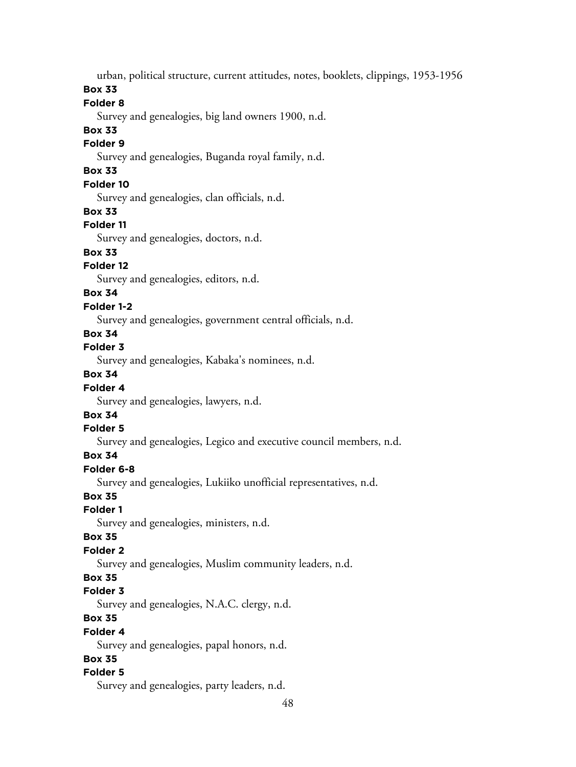urban, political structure, current attitudes, notes, booklets, clippings, 1953-1956

**Box 33**

## **Folder 8**

Survey and genealogies, big land owners 1900, n.d.

## **Box 33**

### **Folder 9**

Survey and genealogies, Buganda royal family, n.d.

## **Box 33**

## **Folder 10**

Survey and genealogies, clan officials, n.d.

#### **Box 33**

### **Folder 11**

Survey and genealogies, doctors, n.d.

## **Box 33**

## **Folder 12**

Survey and genealogies, editors, n.d.

## **Box 34**

## **Folder 1-2**

Survey and genealogies, government central officials, n.d.

## **Box 34**

## **Folder 3**

Survey and genealogies, Kabaka's nominees, n.d.

## **Box 34**

## **Folder 4**

Survey and genealogies, lawyers, n.d.

## **Box 34**

### **Folder 5**

Survey and genealogies, Legico and executive council members, n.d.

## **Box 34**

## **Folder 6-8**

Survey and genealogies, Lukiiko unofficial representatives, n.d.

## **Box 35**

## **Folder 1**

Survey and genealogies, ministers, n.d.

#### **Box 35**

## **Folder 2**

Survey and genealogies, Muslim community leaders, n.d.

## **Box 35**

## **Folder 3**

Survey and genealogies, N.A.C. clergy, n.d.

## **Box 35**

## **Folder 4**

Survey and genealogies, papal honors, n.d.

## **Box 35**

## **Folder 5**

Survey and genealogies, party leaders, n.d.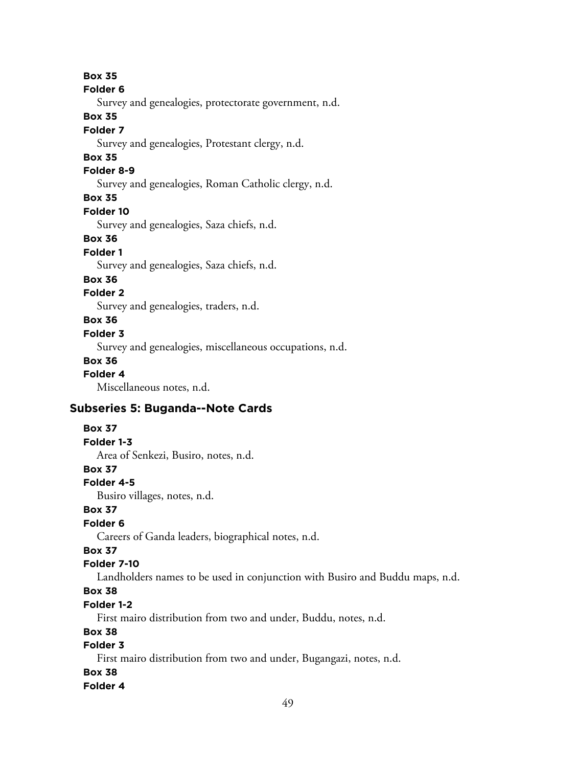**Box 35**

#### **Folder 6**

Survey and genealogies, protectorate government, n.d.

#### **Box 35**

#### **Folder 7**

Survey and genealogies, Protestant clergy, n.d.

## **Box 35**

### **Folder 8-9**

Survey and genealogies, Roman Catholic clergy, n.d.

### **Box 35**

#### **Folder 10**

Survey and genealogies, Saza chiefs, n.d.

#### **Box 36**

### **Folder 1**

Survey and genealogies, Saza chiefs, n.d.

#### **Box 36**

## **Folder 2**

Survey and genealogies, traders, n.d.

## **Box 36**

## **Folder 3**

Survey and genealogies, miscellaneous occupations, n.d.

#### **Box 36**

#### **Folder 4**

Miscellaneous notes, n.d.

## **Subseries 5: Buganda--Note Cards**

### **Box 37**

#### **Folder 1-3**

Area of Senkezi, Busiro, notes, n.d.

#### **Box 37**

#### **Folder 4-5**

Busiro villages, notes, n.d.

#### **Box 37**

## **Folder 6**

Careers of Ganda leaders, biographical notes, n.d.

## **Box 37**

## **Folder 7-10**

Landholders names to be used in conjunction with Busiro and Buddu maps, n.d.

## **Box 38**

## **Folder 1-2**

First mairo distribution from two and under, Buddu, notes, n.d.

## **Box 38**

## **Folder 3**

First mairo distribution from two and under, Bugangazi, notes, n.d.

#### **Box 38**

#### **Folder 4**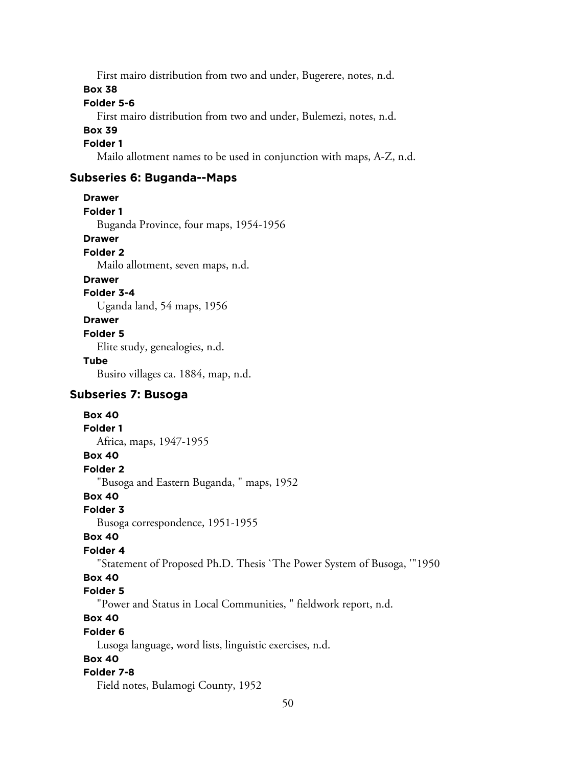First mairo distribution from two and under, Bugerere, notes, n.d.

#### **Box 38**

### **Folder 5-6**

First mairo distribution from two and under, Bulemezi, notes, n.d.

#### **Box 39**

#### **Folder 1**

Mailo allotment names to be used in conjunction with maps, A-Z, n.d.

## **Subseries 6: Buganda--Maps**

#### **Drawer**

**Folder 1**

Buganda Province, four maps, 1954-1956

#### **Drawer**

#### **Folder 2**

Mailo allotment, seven maps, n.d.

### **Drawer**

**Folder 3-4**

Uganda land, 54 maps, 1956

### **Drawer**

#### **Folder 5**

Elite study, genealogies, n.d.

#### **Tube**

Busiro villages ca. 1884, map, n.d.

## **Subseries 7: Busoga**

**Box 40 Folder 1**

Africa, maps, 1947-1955

#### **Box 40**

**Folder 2**

"Busoga and Eastern Buganda, " maps, 1952

#### **Box 40**

#### **Folder 3**

Busoga correspondence, 1951-1955

#### **Box 40**

### **Folder 4**

"Statement of Proposed Ph.D. Thesis `The Power System of Busoga, '"1950

## **Box 40**

#### **Folder 5**

"Power and Status in Local Communities, " fieldwork report, n.d.

## **Box 40**

#### **Folder 6**

Lusoga language, word lists, linguistic exercises, n.d.

### **Box 40**

#### **Folder 7-8**

Field notes, Bulamogi County, 1952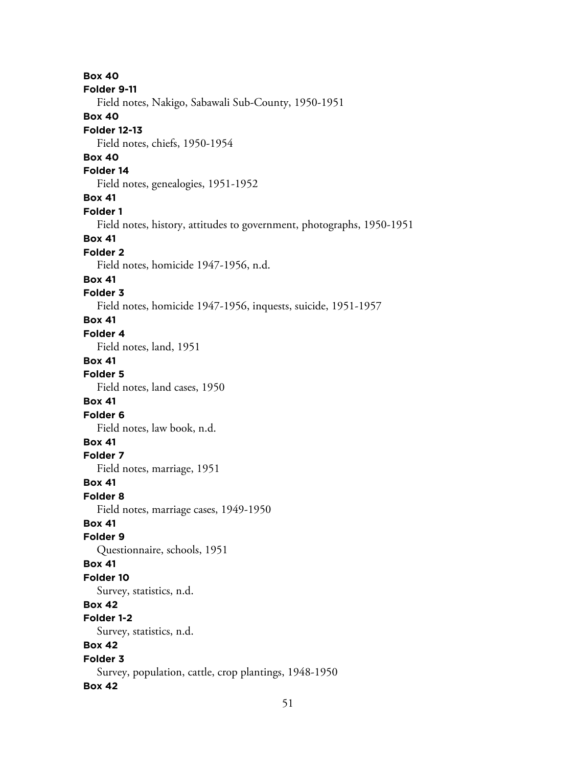**Box 40 Folder 9-11** Field notes, Nakigo, Sabawali Sub-County, 1950-1951 **Box 40 Folder 12-13** Field notes, chiefs, 1950-1954 **Box 40 Folder 14** Field notes, genealogies, 1951-1952 **Box 41 Folder 1** Field notes, history, attitudes to government, photographs, 1950-1951 **Box 41 Folder 2** Field notes, homicide 1947-1956, n.d. **Box 41 Folder 3** Field notes, homicide 1947-1956, inquests, suicide, 1951-1957 **Box 41 Folder 4** Field notes, land, 1951 **Box 41 Folder 5** Field notes, land cases, 1950 **Box 41 Folder 6** Field notes, law book, n.d. **Box 41 Folder 7** Field notes, marriage, 1951 **Box 41 Folder 8** Field notes, marriage cases, 1949-1950 **Box 41 Folder 9** Questionnaire, schools, 1951 **Box 41 Folder 10** Survey, statistics, n.d. **Box 42 Folder 1-2** Survey, statistics, n.d. **Box 42 Folder 3** Survey, population, cattle, crop plantings, 1948-1950 **Box 42**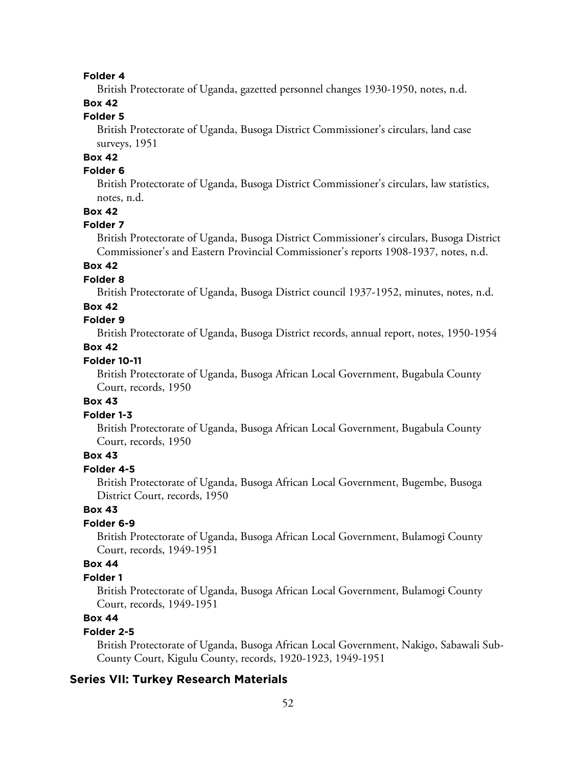#### **Folder 4**

British Protectorate of Uganda, gazetted personnel changes 1930-1950, notes, n.d.

## **Box 42**

## **Folder 5**

British Protectorate of Uganda, Busoga District Commissioner's circulars, land case surveys, 1951

## **Box 42**

## **Folder 6**

British Protectorate of Uganda, Busoga District Commissioner's circulars, law statistics, notes, n.d.

#### **Box 42**

#### **Folder 7**

British Protectorate of Uganda, Busoga District Commissioner's circulars, Busoga District Commissioner's and Eastern Provincial Commissioner's reports 1908-1937, notes, n.d.

#### **Box 42**

#### **Folder 8**

British Protectorate of Uganda, Busoga District council 1937-1952, minutes, notes, n.d.

#### **Box 42**

## **Folder 9**

British Protectorate of Uganda, Busoga District records, annual report, notes, 1950-1954

#### **Box 42**

#### **Folder 10-11**

British Protectorate of Uganda, Busoga African Local Government, Bugabula County Court, records, 1950

#### **Box 43**

#### **Folder 1-3**

British Protectorate of Uganda, Busoga African Local Government, Bugabula County Court, records, 1950

#### **Box 43**

#### **Folder 4-5**

British Protectorate of Uganda, Busoga African Local Government, Bugembe, Busoga District Court, records, 1950

#### **Box 43**

#### **Folder 6-9**

British Protectorate of Uganda, Busoga African Local Government, Bulamogi County Court, records, 1949-1951

### **Box 44**

#### **Folder 1**

British Protectorate of Uganda, Busoga African Local Government, Bulamogi County Court, records, 1949-1951

## **Box 44**

#### **Folder 2-5**

British Protectorate of Uganda, Busoga African Local Government, Nakigo, Sabawali Sub-County Court, Kigulu County, records, 1920-1923, 1949-1951

#### **Series VII: Turkey Research Materials**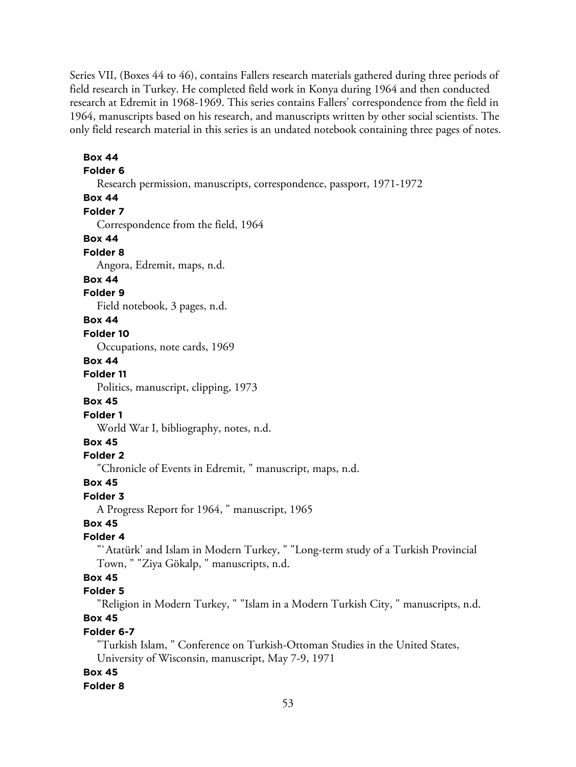Series VII, (Boxes 44 to 46), contains Fallers research materials gathered during three periods of field research in Turkey. He completed field work in Konya during 1964 and then conducted research at Edremit in 1968-1969. This series contains Fallers' correspondence from the field in 1964, manuscripts based on his research, and manuscripts written by other social scientists. The only field research material in this series is an undated notebook containing three pages of notes.

## **Folder 6** Research permission, manuscripts, correspondence, passport, 1971-1972 **Box 44 Folder 7** Correspondence from the field, 1964 **Box 44 Folder 8** Angora, Edremit, maps, n.d. **Box 44 Folder 9** Field notebook, 3 pages, n.d. **Box 44 Folder 10** Occupations, note cards, 1969 **Box 44 Folder 11** Politics, manuscript, clipping, 1973 **Box 45 Folder 1** World War I, bibliography, notes, n.d. **Box 45 Folder 2** "Chronicle of Events in Edremit, " manuscript, maps, n.d. **Box 45 Folder 3** A Progress Report for 1964, " manuscript, 1965 **Box 45 Folder 4** "`Atatürk' and Islam in Modern Turkey, " "Long-term study of a Turkish Provincial Town, " "Ziya Gökalp, " manuscripts, n.d. **Box 45 Folder 5** "Religion in Modern Turkey, " "Islam in a Modern Turkish City, " manuscripts, n.d. **Box 45 Folder 6-7** "Turkish Islam, " Conference on Turkish-Ottoman Studies in the United States, University of Wisconsin, manuscript, May 7-9, 1971 **Box 45 Folder 8**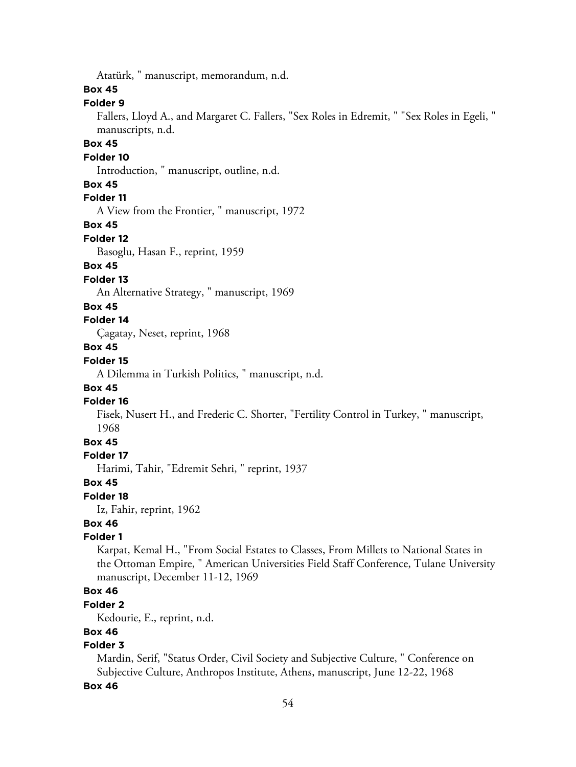Atatürk, " manuscript, memorandum, n.d.

#### **Box 45**

### **Folder 9**

Fallers, Lloyd A., and Margaret C. Fallers, "Sex Roles in Edremit, " "Sex Roles in Egeli, " manuscripts, n.d.

#### **Box 45**

#### **Folder 10**

Introduction, " manuscript, outline, n.d.

#### **Box 45**

### **Folder 11**

A View from the Frontier, " manuscript, 1972

#### **Box 45**

#### **Folder 12**

Basoglu, Hasan F., reprint, 1959

#### **Box 45**

#### **Folder 13**

An Alternative Strategy, " manuscript, 1969

#### **Box 45**

#### **Folder 14**

Çagatay, Neset, reprint, 1968

#### **Box 45**

### **Folder 15**

A Dilemma in Turkish Politics, " manuscript, n.d.

#### **Box 45**

#### **Folder 16**

Fisek, Nusert H., and Frederic C. Shorter, "Fertility Control in Turkey, " manuscript, 1968

#### **Box 45**

#### **Folder 17**

Harimi, Tahir, "Edremit Sehri, " reprint, 1937

#### **Box 45**

#### **Folder 18**

Iz, Fahir, reprint, 1962

## **Box 46**

#### **Folder 1**

Karpat, Kemal H., "From Social Estates to Classes, From Millets to National States in the Ottoman Empire, " American Universities Field Staff Conference, Tulane University manuscript, December 11-12, 1969

## **Box 46**

#### **Folder 2**

Kedourie, E., reprint, n.d.

#### **Box 46**

## **Folder 3**

Mardin, Serif, "Status Order, Civil Society and Subjective Culture, " Conference on Subjective Culture, Anthropos Institute, Athens, manuscript, June 12-22, 1968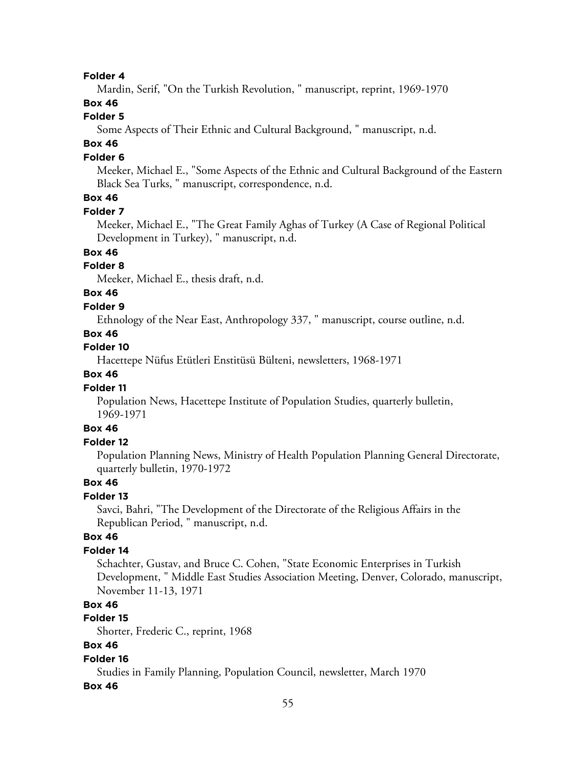#### **Folder 4**

Mardin, Serif, "On the Turkish Revolution, " manuscript, reprint, 1969-1970

## **Box 46**

### **Folder 5**

Some Aspects of Their Ethnic and Cultural Background, " manuscript, n.d.

## **Box 46**

#### **Folder 6**

Meeker, Michael E., "Some Aspects of the Ethnic and Cultural Background of the Eastern Black Sea Turks, " manuscript, correspondence, n.d.

## **Box 46**

#### **Folder 7**

Meeker, Michael E., "The Great Family Aghas of Turkey (A Case of Regional Political Development in Turkey), " manuscript, n.d.

## **Box 46**

#### **Folder 8**

Meeker, Michael E., thesis draft, n.d.

## **Box 46**

#### **Folder 9**

Ethnology of the Near East, Anthropology 337, " manuscript, course outline, n.d.

#### **Box 46**

#### **Folder 10**

Hacettepe Nüfus Etütleri Enstitüsü Bülteni, newsletters, 1968-1971

### **Box 46**

#### **Folder 11**

Population News, Hacettepe Institute of Population Studies, quarterly bulletin, 1969-1971

## **Box 46**

#### **Folder 12**

Population Planning News, Ministry of Health Population Planning General Directorate, quarterly bulletin, 1970-1972

#### **Box 46**

#### **Folder 13**

Savci, Bahri, "The Development of the Directorate of the Religious Affairs in the Republican Period, " manuscript, n.d.

#### **Box 46**

#### **Folder 14**

Schachter, Gustav, and Bruce C. Cohen, "State Economic Enterprises in Turkish Development, " Middle East Studies Association Meeting, Denver, Colorado, manuscript, November 11-13, 1971

#### **Box 46**

## **Folder 15**

Shorter, Frederic C., reprint, 1968

### **Box 46**

#### **Folder 16**

Studies in Family Planning, Population Council, newsletter, March 1970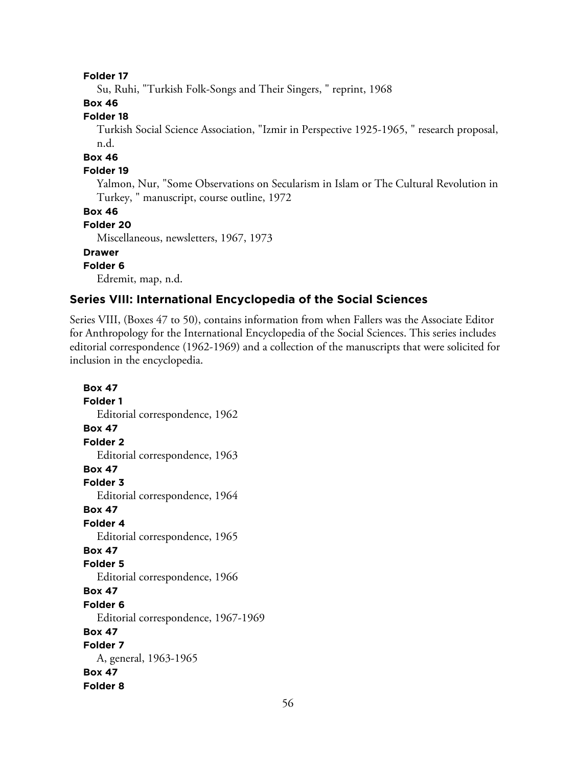#### **Folder 17**

Su, Ruhi, "Turkish Folk-Songs and Their Singers, " reprint, 1968

## **Box 46**

### **Folder 18**

Turkish Social Science Association, "Izmir in Perspective 1925-1965, " research proposal, n.d.

#### **Box 46**

#### **Folder 19**

Yalmon, Nur, "Some Observations on Secularism in Islam or The Cultural Revolution in Turkey, " manuscript, course outline, 1972

#### **Box 46**

### **Folder 20**

Miscellaneous, newsletters, 1967, 1973

## **Drawer**

## **Folder 6**

Edremit, map, n.d.

#### **Series VIII: International Encyclopedia of the Social Sciences**

Series VIII, (Boxes 47 to 50), contains information from when Fallers was the Associate Editor for Anthropology for the International Encyclopedia of the Social Sciences. This series includes editorial correspondence (1962-1969) and a collection of the manuscripts that were solicited for inclusion in the encyclopedia.

**Box 47 Folder 1** Editorial correspondence, 1962 **Box 47 Folder 2** Editorial correspondence, 1963 **Box 47 Folder 3** Editorial correspondence, 1964 **Box 47 Folder 4** Editorial correspondence, 1965 **Box 47 Folder 5** Editorial correspondence, 1966 **Box 47 Folder 6** Editorial correspondence, 1967-1969 **Box 47 Folder 7** A, general, 1963-1965 **Box 47 Folder 8**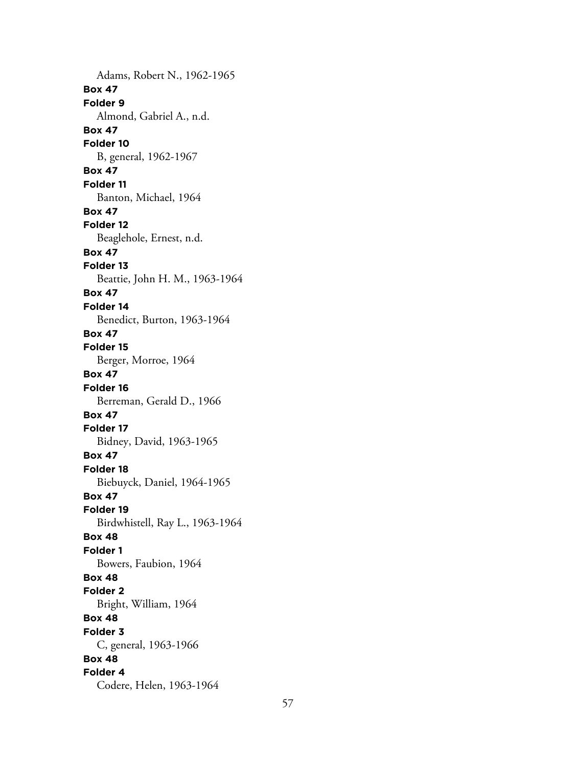Adams, Robert N., 1962-1965 **Box 47 Folder 9** Almond, Gabriel A., n.d. **Box 47 Folder 10** B, general, 1962-1967 **Box 47 Folder 11** Banton, Michael, 1964 **Box 47 Folder 12** Beaglehole, Ernest, n.d. **Box 47 Folder 13** Beattie, John H. M., 1963-1964 **Box 47 Folder 14** Benedict, Burton, 1963-1964 **Box 47 Folder 15** Berger, Morroe, 1964 **Box 47 Folder 16** Berreman, Gerald D., 1966 **Box 47 Folder 17** Bidney, David, 1963-1965 **Box 47 Folder 18** Biebuyck, Daniel, 1964-1965 **Box 47 Folder 19** Birdwhistell, Ray L., 1963-1964 **Box 48 Folder 1** Bowers, Faubion, 1964 **Box 48 Folder 2** Bright, William, 1964 **Box 48 Folder 3** C, general, 1963-1966 **Box 48 Folder 4** Codere, Helen, 1963-1964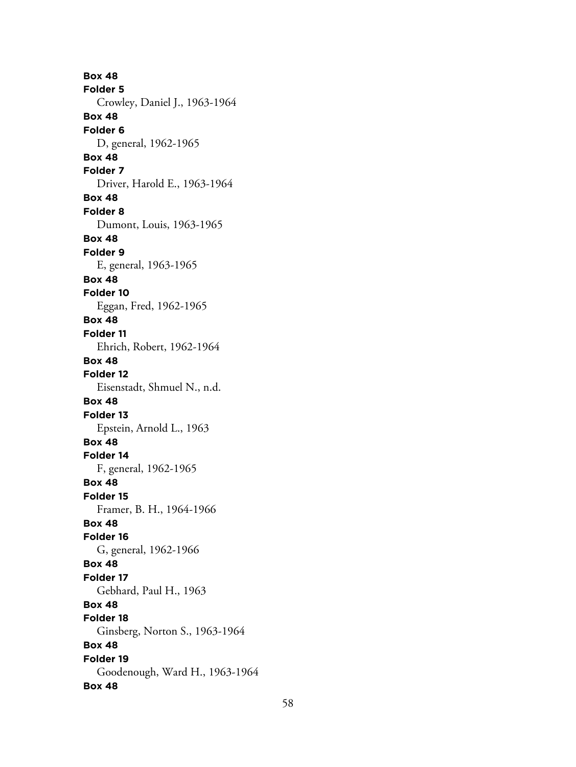**Box 48 Folder 5** Crowley, Daniel J., 1963-1964 **Box 48 Folder 6** D, general, 1962-1965 **Box 48 Folder 7** Driver, Harold E., 1963-1964 **Box 48 Folder 8** Dumont, Louis, 1963-1965 **Box 48 Folder 9** E, general, 1963-1965 **Box 48 Folder 10** Eggan, Fred, 1962-1965 **Box 48 Folder 11** Ehrich, Robert, 1962-1964 **Box 48 Folder 12** Eisenstadt, Shmuel N., n.d. **Box 48 Folder 13** Epstein, Arnold L., 1963 **Box 48 Folder 14** F, general, 1962-1965 **Box 48 Folder 15** Framer, B. H., 1964-1966 **Box 48 Folder 16** G, general, 1962-1966 **Box 48 Folder 17** Gebhard, Paul H., 1963 **Box 48 Folder 18** Ginsberg, Norton S., 1963-1964 **Box 48 Folder 19** Goodenough, Ward H., 1963-1964 **Box 48**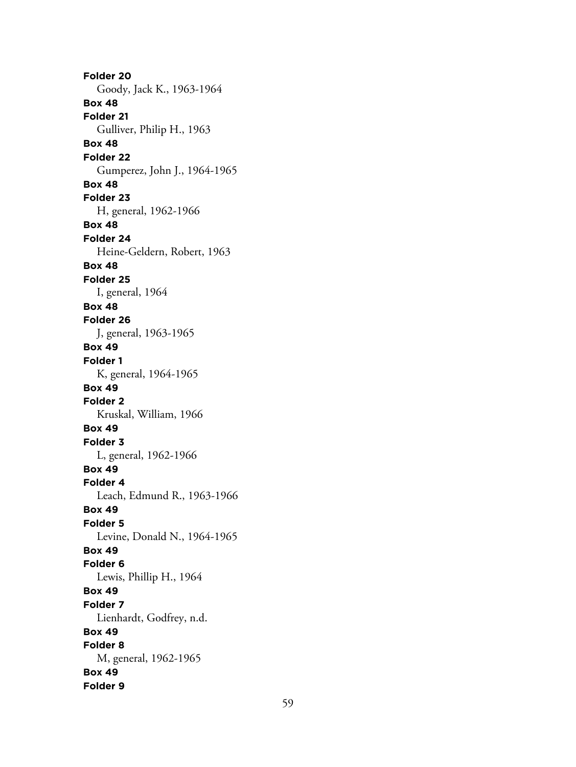**Folder 20** Goody, Jack K., 1963-1964 **Box 48 Folder 21** Gulliver, Philip H., 1963 **Box 48 Folder 22** Gumperez, John J., 1964-1965 **Box 48 Folder 23** H, general, 1962-1966 **Box 48 Folder 24** Heine-Geldern, Robert, 1963 **Box 48 Folder 25** I, general, 1964 **Box 48 Folder 26** J, general, 1963-1965 **Box 49 Folder 1** K, general, 1964-1965 **Box 49 Folder 2** Kruskal, William, 1966 **Box 49 Folder 3** L, general, 1962-1966 **Box 49 Folder 4** Leach, Edmund R., 1963-1966 **Box 49 Folder 5** Levine, Donald N., 1964-1965 **Box 49 Folder 6** Lewis, Phillip H., 1964 **Box 49 Folder 7** Lienhardt, Godfrey, n.d. **Box 49 Folder 8** M, general, 1962-1965 **Box 49 Folder 9**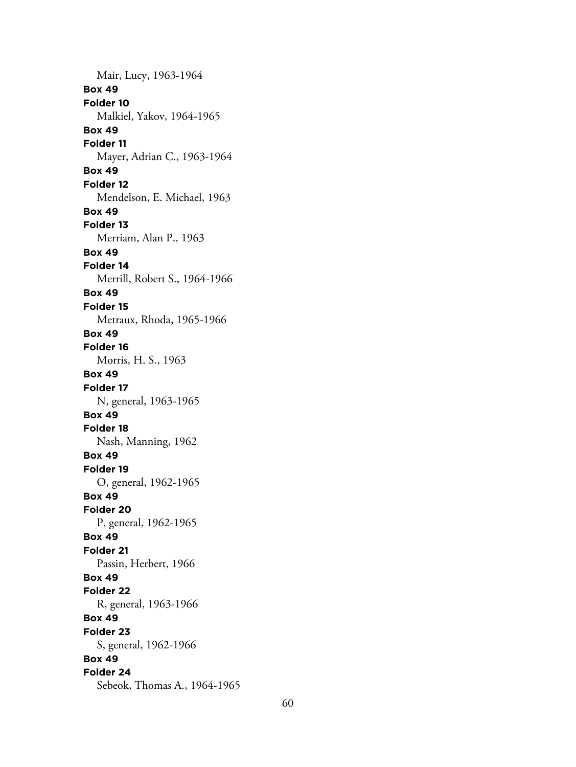Mair, Lucy, 1963-1964 **Box 49 Folder 10** Malkiel, Yakov, 1964-1965 **Box 49 Folder 11** Mayer, Adrian C., 1963-1964 **Box 49 Folder 12** Mendelson, E. Michael, 1963 **Box 49 Folder 13** Merriam, Alan P., 1963 **Box 49 Folder 14** Merrill, Robert S., 1964-1966 **Box 49 Folder 15** Metraux, Rhoda, 1965-1966 **Box 49 Folder 16** Morris, H. S., 1963 **Box 49 Folder 17** N, general, 1963-1965 **Box 49 Folder 18** Nash, Manning, 1962 **Box 49 Folder 19** O, general, 1962-1965 **Box 49 Folder 20** P, general, 1962-1965 **Box 49 Folder 21** Passin, Herbert, 1966 **Box 49 Folder 22** R, general, 1963-1966 **Box 49 Folder 23** S, general, 1962-1966 **Box 49 Folder 24** Sebeok, Thomas A., 1964-1965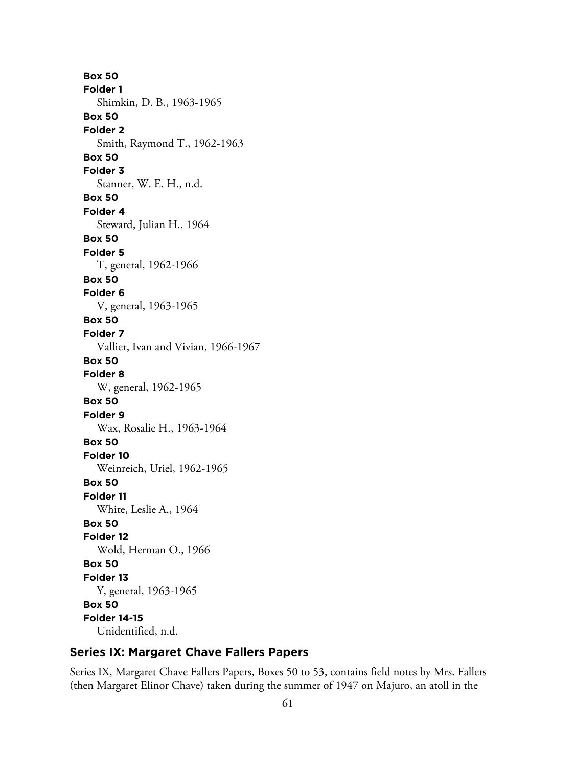**Box 50 Folder 1** Shimkin, D. B., 1963-1965 **Box 50 Folder 2** Smith, Raymond T., 1962-1963 **Box 50 Folder 3** Stanner, W. E. H., n.d. **Box 50 Folder 4** Steward, Julian H., 1964 **Box 50 Folder 5** T, general, 1962-1966 **Box 50 Folder 6** V, general, 1963-1965 **Box 50 Folder 7** Vallier, Ivan and Vivian, 1966-1967 **Box 50 Folder 8** W, general, 1962-1965 **Box 50 Folder 9** Wax, Rosalie H., 1963-1964 **Box 50 Folder 10** Weinreich, Uriel, 1962-1965 **Box 50 Folder 11** White, Leslie A., 1964 **Box 50 Folder 12** Wold, Herman O., 1966 **Box 50 Folder 13** Y, general, 1963-1965 **Box 50 Folder 14-15** Unidentified, n.d.

## **Series IX: Margaret Chave Fallers Papers**

Series IX, Margaret Chave Fallers Papers, Boxes 50 to 53, contains field notes by Mrs. Fallers (then Margaret Elinor Chave) taken during the summer of 1947 on Majuro, an atoll in the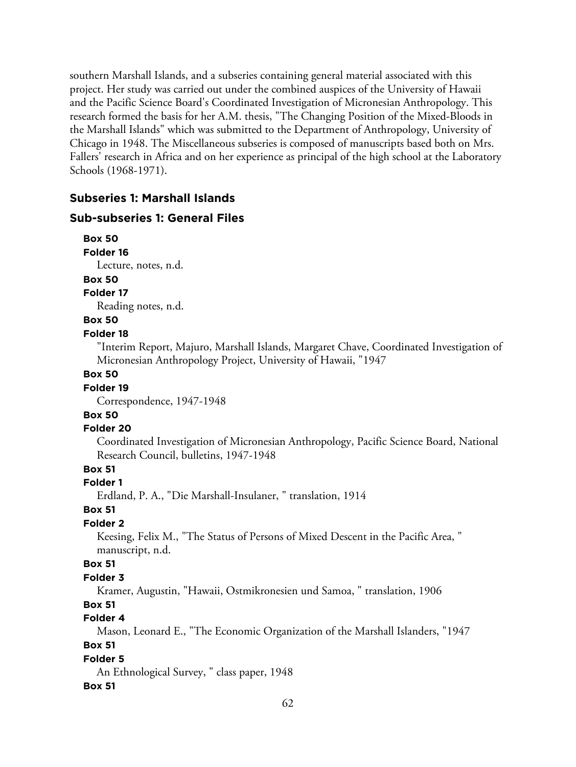southern Marshall Islands, and a subseries containing general material associated with this project. Her study was carried out under the combined auspices of the University of Hawaii and the Pacific Science Board's Coordinated Investigation of Micronesian Anthropology. This research formed the basis for her A.M. thesis, "The Changing Position of the Mixed-Bloods in the Marshall Islands" which was submitted to the Department of Anthropology, University of Chicago in 1948. The Miscellaneous subseries is composed of manuscripts based both on Mrs. Fallers' research in Africa and on her experience as principal of the high school at the Laboratory Schools (1968-1971).

## **Subseries 1: Marshall Islands**

### **Sub-subseries 1: General Files**

**Box 50 Folder 16** Lecture, notes, n.d.

**Box 50**

**Folder 17**

Reading notes, n.d.

#### **Box 50**

#### **Folder 18**

"Interim Report, Majuro, Marshall Islands, Margaret Chave, Coordinated Investigation of Micronesian Anthropology Project, University of Hawaii, "1947

### **Box 50**

#### **Folder 19**

Correspondence, 1947-1948

## **Box 50**

#### **Folder 20**

Coordinated Investigation of Micronesian Anthropology, Pacific Science Board, National Research Council, bulletins, 1947-1948

## **Box 51**

#### **Folder 1**

Erdland, P. A., "Die Marshall-Insulaner, " translation, 1914

#### **Box 51**

## **Folder 2**

Keesing, Felix M., "The Status of Persons of Mixed Descent in the Pacific Area, " manuscript, n.d.

#### **Box 51**

#### **Folder 3**

Kramer, Augustin, "Hawaii, Ostmikronesien und Samoa, " translation, 1906

## **Box 51**

## **Folder 4**

Mason, Leonard E., "The Economic Organization of the Marshall Islanders, "1947

## **Box 51**

### **Folder 5**

An Ethnological Survey, " class paper, 1948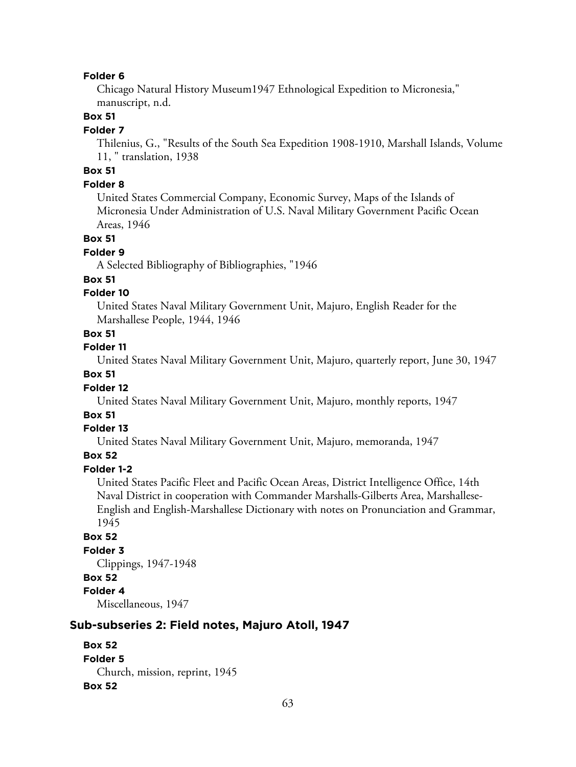#### **Folder 6**

Chicago Natural History Museum1947 Ethnological Expedition to Micronesia," manuscript, n.d.

#### **Box 51**

#### **Folder 7**

Thilenius, G., "Results of the South Sea Expedition 1908-1910, Marshall Islands, Volume 11, " translation, 1938

## **Box 51**

#### **Folder 8**

United States Commercial Company, Economic Survey, Maps of the Islands of Micronesia Under Administration of U.S. Naval Military Government Pacific Ocean Areas, 1946

#### **Box 51**

#### **Folder 9**

A Selected Bibliography of Bibliographies, "1946

#### **Box 51**

### **Folder 10**

United States Naval Military Government Unit, Majuro, English Reader for the Marshallese People, 1944, 1946

#### **Box 51**

#### **Folder 11**

United States Naval Military Government Unit, Majuro, quarterly report, June 30, 1947

### **Box 51**

#### **Folder 12**

United States Naval Military Government Unit, Majuro, monthly reports, 1947

#### **Box 51**

#### **Folder 13**

United States Naval Military Government Unit, Majuro, memoranda, 1947

#### **Box 52**

## **Folder 1-2**

United States Pacific Fleet and Pacific Ocean Areas, District Intelligence Office, 14th Naval District in cooperation with Commander Marshalls-Gilberts Area, Marshallese-English and English-Marshallese Dictionary with notes on Pronunciation and Grammar, 1945

#### **Box 52**

### **Folder 3** Clippings, 1947-1948 **Box 52 Folder 4** Miscellaneous, 1947

### **Sub-subseries 2: Field notes, Majuro Atoll, 1947**

```
Box 52
Folder 5
  Church, mission, reprint, 1945
Box 52
```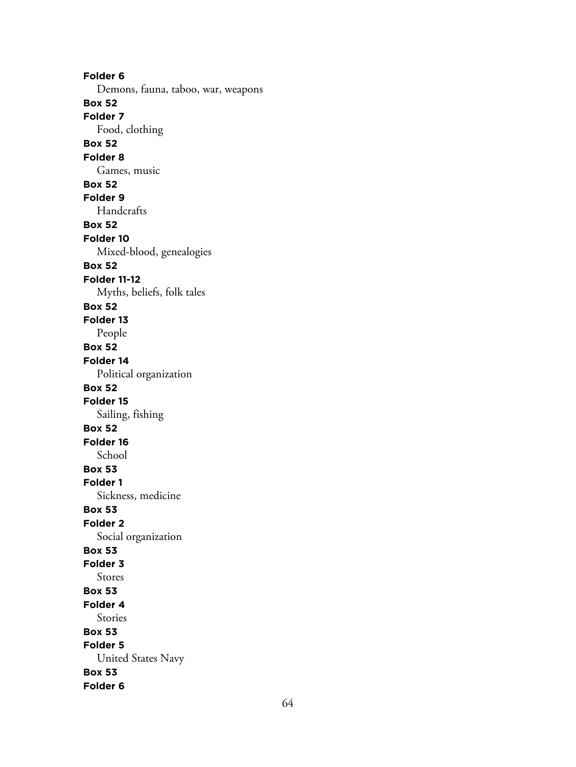**Folder 6** Demons, fauna, taboo, war, weapons **Box 52 Folder 7** Food, clothing **Box 52 Folder 8** Games, music **Box 52 Folder 9** Handcrafts **Box 52 Folder 10** Mixed-blood, genealogies **Box 52 Folder 11-12** Myths, beliefs, folk tales **Box 52 Folder 13** People **Box 52 Folder 14** Political organization **Box 52 Folder 15** Sailing, fishing **Box 52 Folder 16** School **Box 53 Folder 1** Sickness, medicine **Box 53 Folder 2** Social organization **Box 53 Folder 3** Stores **Box 53 Folder 4** Stories **Box 53 Folder 5** United States Navy **Box 53 Folder 6**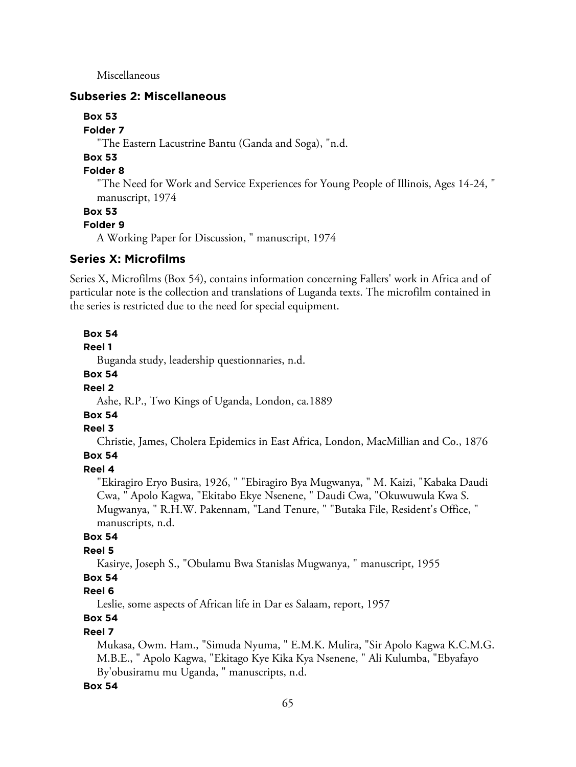Miscellaneous

#### **Subseries 2: Miscellaneous**

**Box 53**

**Folder 7**

"The Eastern Lacustrine Bantu (Ganda and Soga), "n.d.

## **Box 53**

## **Folder 8**

"The Need for Work and Service Experiences for Young People of Illinois, Ages 14-24, " manuscript, 1974

#### **Box 53**

#### **Folder 9**

A Working Paper for Discussion, " manuscript, 1974

#### **Series X: Microfilms**

Series X, Microfilms (Box 54), contains information concerning Fallers' work in Africa and of particular note is the collection and translations of Luganda texts. The microfilm contained in the series is restricted due to the need for special equipment.

#### **Box 54**

#### **Reel 1**

Buganda study, leadership questionnaries, n.d.

#### **Box 54**

#### **Reel 2**

Ashe, R.P., Two Kings of Uganda, London, ca.1889

## **Box 54**

#### **Reel 3**

Christie, James, Cholera Epidemics in East Africa, London, MacMillian and Co., 1876

### **Box 54**

### **Reel 4**

"Ekiragiro Eryo Busira, 1926, " "Ebiragiro Bya Mugwanya, " M. Kaizi, "Kabaka Daudi Cwa, " Apolo Kagwa, "Ekitabo Ekye Nsenene, " Daudi Cwa, "Okuwuwula Kwa S. Mugwanya, " R.H.W. Pakennam, "Land Tenure, " "Butaka File, Resident's Office, " manuscripts, n.d.

#### **Box 54**

#### **Reel 5**

Kasirye, Joseph S., "Obulamu Bwa Stanislas Mugwanya, " manuscript, 1955

## **Box 54**

### **Reel 6**

Leslie, some aspects of African life in Dar es Salaam, report, 1957

## **Box 54**

#### **Reel 7**

Mukasa, Owm. Ham., "Simuda Nyuma, " E.M.K. Mulira, "Sir Apolo Kagwa K.C.M.G. M.B.E., " Apolo Kagwa, "Ekitago Kye Kika Kya Nsenene, " Ali Kulumba, "Ebyafayo By'obusiramu mu Uganda, " manuscripts, n.d.